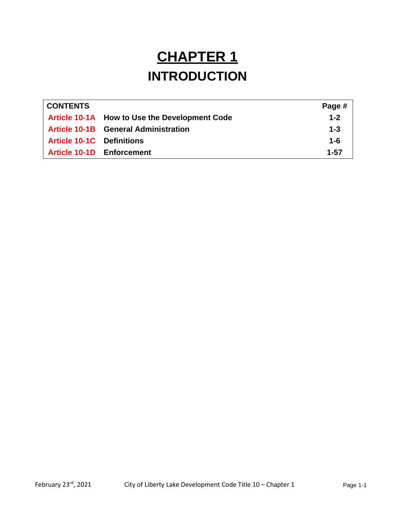# **CHAPTER 1 INTRODUCTION**

| <b>CONTENTS</b>                  |                                               | Page #  |
|----------------------------------|-----------------------------------------------|---------|
|                                  | Article 10-1A How to Use the Development Code | $1 - 2$ |
|                                  | <b>Article 10-1B</b> General Administration   | $1 - 3$ |
| <b>Article 10-1C</b> Definitions |                                               | $1 - 6$ |
|                                  | Article 10-1D Enforcement                     | 1-57    |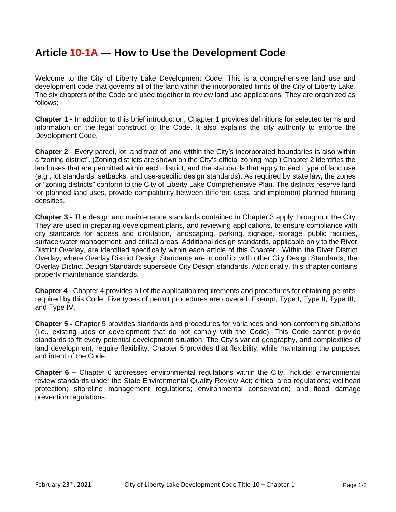# **Article 10-1A — How to Use the Development Code**

Welcome to the City of Liberty Lake Development Code. This is a comprehensive land use and development code that governs all of the land within the incorporated limits of the City of Liberty Lake*.*  The six chapters of the Code are used together to review land use applications. They are organized as follows:

**Chapter 1** - In addition to this brief introduction, Chapter 1 provides definitions for selected terms and information on the legal construct of the Code. It also explains the city authority to enforce the Development Code.

**Chapter 2** - Every parcel, lot, and tract of land within the City's incorporated boundaries is also within a "zoning district". (Zoning districts are shown on the City's official zoning map.) Chapter 2 identifies the land uses that are permitted within each district, and the standards that apply to each type of land use (e.g., lot standards, setbacks, and use-specific design standards). As required by state law, the zones or "zoning districts" conform to the City of Liberty Lake Comprehensive Plan. The districts reserve land for planned land uses, provide compatibility between different uses, and implement planned housing densities.

**Chapter 3** - The design and maintenance standards contained in Chapter 3 apply throughout the City. They are used in preparing development plans, and reviewing applications, to ensure compliance with city standards for access and circulation, landscaping, parking, signage, storage, public facilities, surface water management, and critical areas. Additional design standards, applicable only to the River District Overlay, are identified specifically within each article of this Chapter. Within the River District Overlay, where Overlay District Design Standards are in conflict with other City Design Standards, the Overlay District Design Standards supersede City Design standards. Additionally, this chapter contains property maintenance standards.

**Chapter 4** - Chapter 4 provides all of the application requirements and procedures for obtaining permits required by this Code. Five types of permit procedures are covered: Exempt, Type I, Type II, Type III, and Type IV.

**Chapter 5** *-* Chapter 5 provides standards and procedures for variances and non-conforming situations (i.e., existing uses or development that do not comply with the Code). This Code cannot provide standards to fit every potential development situation. The City's varied geography, and complexities of land development, require flexibility. Chapter 5 provides that flexibility, while maintaining the purposes and intent of the Code.

**Chapter 6 –** Chapter 6 addresses environmental regulations within the City, include: environmental review standards under the State Environmental Quality Review Act; critical area regulations; wellhead protection; shoreline management regulations; environmental conservation; and flood damage prevention regulations.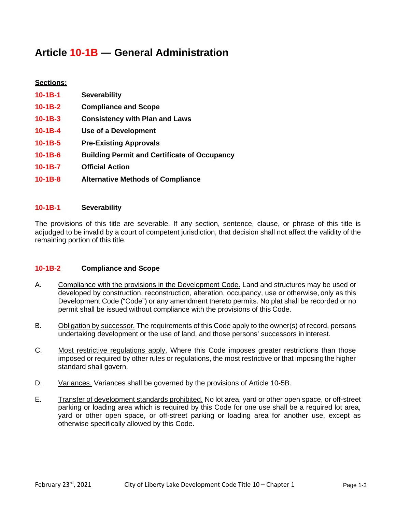# **Article 10-1B — General Administration**

# **Sections: 10-1B-1 Severability 10-1B-2 Compliance and Scope 10-1B-3 Consistency with Plan and Laws 10-1B-4 Use of a Development 10-1B-5 Pre-Existing Approvals 10-1B-6 Building Permit and Certificate of Occupancy 10-1B-7 Official Action 10-1B-8 Alternative Methods of Compliance**

# **10-1B-1 Severability**

The provisions of this title are severable. If any section, sentence, clause, or phrase of this title is adjudged to be invalid by a court of competent jurisdiction, that decision shall not affect the validity of the remaining portion of this title.

#### **10-1B-2 Compliance and Scope**

- A. Compliance with the provisions in the Development Code. Land and structures may be used or developed by construction, reconstruction, alteration, occupancy, use or otherwise, only as this Development Code ("Code") or any amendment thereto permits. No plat shall be recorded or no permit shall be issued without compliance with the provisions of this Code.
- B. Obligation by successor. The requirements of this Code apply to the owner(s) of record, persons undertaking development or the use of land, and those persons' successors in interest.
- C. Most restrictive regulations apply. Where this Code imposes greater restrictions than those imposed or required by other rules or regulations, the most restrictive or that imposingthe higher standard shall govern.
- D. Variances. Variances shall be governed by the provisions of Article 10-5B.
- E. Transfer of development standards prohibited. No lot area, yard or other open space, or off-street parking or loading area which is required by this Code for one use shall be a required lot area, yard or other open space, or off-street parking or loading area for another use, except as otherwise specifically allowed by this Code.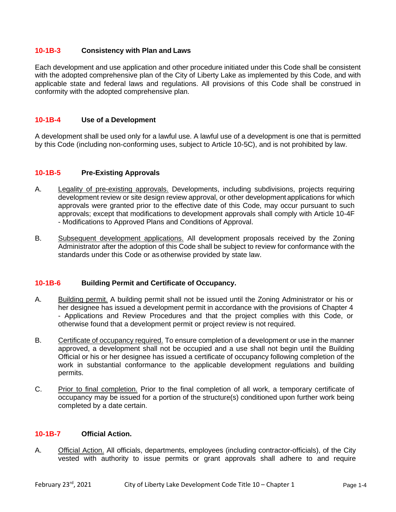#### **10-1B-3 Consistency with Plan and Laws**

Each development and use application and other procedure initiated under this Code shall be consistent with the adopted comprehensive plan of the City of Liberty Lake as implemented by this Code, and with applicable state and federal laws and regulations. All provisions of this Code shall be construed in conformity with the adopted comprehensive plan.

#### **10-1B-4 Use of a Development**

A development shall be used only for a lawful use. A lawful use of a development is one that is permitted by this Code (including non-conforming uses, subject to Article 10-5C), and is not prohibited by law.

#### **10-1B-5 Pre-Existing Approvals**

- A. Legality of pre-existing approvals. Developments, including subdivisions, projects requiring development review or site design review approval, or other development applications for which approvals were granted prior to the effective date of this Code, may occur pursuant to such approvals; except that modifications to development approvals shall comply with Article 10-4F - Modifications to Approved Plans and Conditions of Approval.
- B. Subsequent development applications. All development proposals received by the Zoning Administrator after the adoption of this Code shall be subject to review for conformance with the standards under this Code or as otherwise provided by state law.

#### **10-1B-6 Building Permit and Certificate of Occupancy.**

- A. Building permit. A building permit shall not be issued until the Zoning Administrator or his or her designee has issued a development permit in accordance with the provisions of Chapter 4 - Applications and Review Procedures and that the project complies with this Code, or otherwise found that a development permit or project review is not required.
- B. Certificate of occupancy required. To ensure completion of a development or use in the manner approved, a development shall not be occupied and a use shall not begin until the Building Official or his or her designee has issued a certificate of occupancy following completion of the work in substantial conformance to the applicable development regulations and building permits.
- C. Prior to final completion. Prior to the final completion of all work, a temporary certificate of occupancy may be issued for a portion of the structure(s) conditioned upon further work being completed by a date certain.

#### **10-1B-7 Official Action.**

A. Official Action. All officials, departments, employees (including contractor-officials), of the City vested with authority to issue permits or grant approvals shall adhere to and require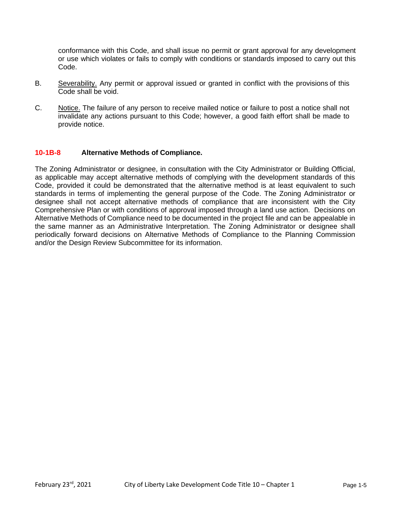conformance with this Code, and shall issue no permit or grant approval for any development or use which violates or fails to comply with conditions or standards imposed to carry out this Code.

- B. Severability. Any permit or approval issued or granted in conflict with the provisions of this Code shall be void.
- C. Notice. The failure of any person to receive mailed notice or failure to post a notice shall not invalidate any actions pursuant to this Code; however, a good faith effort shall be made to provide notice.

#### **10-1B-8 Alternative Methods of Compliance.**

The Zoning Administrator or designee, in consultation with the City Administrator or Building Official, as applicable may accept alternative methods of complying with the development standards of this Code, provided it could be demonstrated that the alternative method is at least equivalent to such standards in terms of implementing the general purpose of the Code. The Zoning Administrator or designee shall not accept alternative methods of compliance that are inconsistent with the City Comprehensive Plan or with conditions of approval imposed through a land use action. Decisions on Alternative Methods of Compliance need to be documented in the project file and can be appealable in the same manner as an Administrative Interpretation. The Zoning Administrator or designee shall periodically forward decisions on Alternative Methods of Compliance to the Planning Commission and/or the Design Review Subcommittee for its information.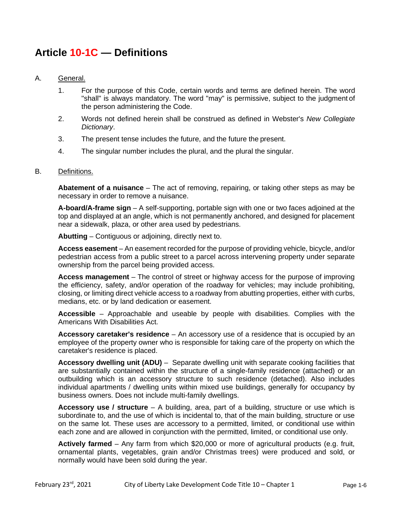# **Article 10-1C — Definitions**

#### A. General.

- 1. For the purpose of this Code, certain words and terms are defined herein. The word "shall" is always mandatory. The word "may" is permissive, subject to the judgment of the person administering the Code.
- 2. Words not defined herein shall be construed as defined in Webster's *New Collegiate Dictionary*.
- 3. The present tense includes the future, and the future the present.
- 4. The singular number includes the plural, and the plural the singular.

#### B. Definitions.

**Abatement of a nuisance** – The act of removing, repairing, or taking other steps as may be necessary in order to remove a nuisance.

**A-board/A-frame sign** – A self-supporting, portable sign with one or two faces adjoined at the top and displayed at an angle, which is not permanently anchored, and designed for placement near a sidewalk, plaza, or other area used by pedestrians.

**Abutting** – Contiguous or adjoining, directly next to.

**Access easement** – An easement recorded for the purpose of providing vehicle, bicycle, and/or pedestrian access from a public street to a parcel across intervening property under separate ownership from the parcel being provided access.

**Access management** – The control of street or highway access for the purpose of improving the efficiency, safety, and/or operation of the roadway for vehicles; may include prohibiting, closing, or limiting direct vehicle access to a roadway from abutting properties, either with curbs, medians, etc. or by land dedication or easement.

**Accessible** – Approachable and useable by people with disabilities. Complies with the Americans With Disabilities Act.

**Accessory caretaker's residence** – An accessory use of a residence that is occupied by an employee of the property owner who is responsible for taking care of the property on which the caretaker's residence is placed.

**Accessory dwelling unit (ADU)** – Separate dwelling unit with separate cooking facilities that are substantially contained within the structure of a single-family residence (attached) or an outbuilding which is an accessory structure to such residence (detached). Also includes individual apartments / dwelling units within mixed use buildings, generally for occupancy by business owners. Does not include multi-family dwellings.

**Accessory use / structure** – A building, area, part of a building, structure or use which is subordinate to, and the use of which is incidental to, that of the main building, structure or use on the same lot. These uses are accessory to a permitted, limited, or conditional use within each zone and are allowed in conjunction with the permitted, limited, or conditional use only.

**Actively farmed** – Any farm from which \$20,000 or more of agricultural products (e.g. fruit, ornamental plants, vegetables, grain and/or Christmas trees) were produced and sold, or normally would have been sold during the year.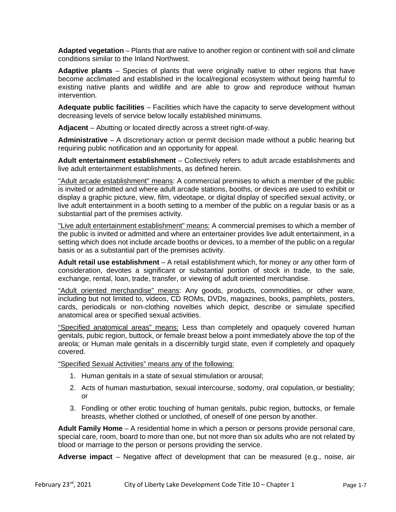**Adapted vegetation** – Plants that are native to another region or continent with soil and climate conditions similar to the Inland Northwest.

**Adaptive plants** – Species of plants that were originally native to other regions that have become acclimated and established in the local/regional ecosystem without being harmful to existing native plants and wildlife and are able to grow and reproduce without human intervention.

**Adequate public facilities** – Facilities which have the capacity to serve development without decreasing levels of service below locally established minimums.

**Adjacent** – Abutting or located directly across a street right-of-way.

**Administrative** – A discretionary action or permit decision made without a public hearing but requiring public notification and an opportunity for appeal.

**Adult entertainment establishment** – Collectively refers to adult arcade establishments and live adult entertainment establishments, as defined herein.

"Adult arcade establishment" means: A commercial premises to which a member of the public is invited or admitted and where adult arcade stations, booths, or devices are used to exhibit or display a graphic picture, view, film, videotape, or digital display of specified sexual activity, or live adult entertainment in a booth setting to a member of the public on a regular basis or as a substantial part of the premises activity.

"Live adult entertainment establishment" means: A commercial premises to which a member of the public is invited or admitted and where an entertainer provides live adult entertainment, in a setting which does not include arcade booths or devices, to a member of the public on a regular basis or as a substantial part of the premises activity.

**Adult retail use establishment** – A retail establishment which, for money or any other form of consideration, devotes a significant or substantial portion of stock in trade, to the sale, exchange, rental, loan, trade, transfer, or viewing of adult oriented merchandise.

"Adult oriented merchandise" means: Any goods, products, commodities, or other ware, including but not limited to, videos, CD ROMs, DVDs, magazines, books, pamphlets, posters, cards, periodicals or non-clothing novelties which depict, describe or simulate specified anatomical area or specified sexual activities.

"Specified anatomical areas" means: Less than completely and opaquely covered human genitals, pubic region, buttock, or female breast below a point immediately above the top of the areola; or Human male genitals in a discernibly turgid state, even if completely and opaquely covered.

"Specified Sexual Activities" means any of the following:

- 1. Human genitals in a state of sexual stimulation or arousal;
- 2. Acts of human masturbation, sexual intercourse, sodomy, oral copulation, or bestiality; or
- 3. Fondling or other erotic touching of human genitals, pubic region, buttocks, or female breasts, whether clothed or unclothed, of oneself of one person by another.

**Adult Family Home** – A residential home in which a person or persons provide personal care, special care, room, board to more than one, but not more than six adults who are not related by blood or marriage to the person or persons providing the service.

**Adverse impact** – Negative affect of development that can be measured (e.g., noise, air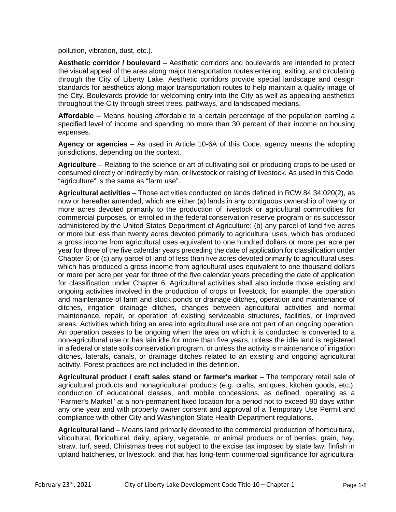pollution, vibration, dust, etc.).

**Aesthetic corridor / boulevard** – Aesthetic corridors and boulevards are intended to protect the visual appeal of the area along major transportation routes entering, exiting, and circulating through the City of Liberty Lake. Aesthetic corridors provide special landscape and design standards for aesthetics along major transportation routes to help maintain a quality image of the City. Boulevards provide for welcoming entry into the City as well as appealing aesthetics throughout the City through street trees, pathways, and landscaped medians.

**Affordable** – Means housing affordable to a certain percentage of the population earning a specified level of income and spending no more than 30 percent of their income on housing expenses.

**Agency or agencies** – As used in Article 10-6A of this Code, agency means the adopting jurisdictions, depending on the context.

**Agriculture** – Relating to the science or art of cultivating soil or producing crops to be used or consumed directly or indirectly by man, or livestock or raising of livestock. As used in this Code, "agriculture" is the same as "farm use".

**Agricultural activities** – Those activities conducted on lands defined in RCW 84.34.020(2), as now or hereafter amended, which are either (a) lands in any contiguous ownership of twenty or more acres devoted primarily to the production of livestock or agricultural commodities for commercial purposes, or enrolled in the federal conservation reserve program or its successor administered by the United States Department of Agriculture; (b) any parcel of land five acres or more but less than twenty acres devoted primarily to agricultural uses, which has produced a gross income from agricultural uses equivalent to one hundred dollars or more per acre per year for three of the five calendar years preceding the date of application for classification under Chapter 6; or (c) any parcel of land of less than five acres devoted primarily to agricultural uses, which has produced a gross income from agricultural uses equivalent to one thousand dollars or more per acre per year for three of the five calendar years preceding the date of application for classification under Chapter 6. Agricultural activities shall also include those existing and ongoing activities involved in the production of crops or livestock, for example, the operation and maintenance of farm and stock ponds or drainage ditches, operation and maintenance of ditches, irrigation drainage ditches, changes between agricultural activities and normal maintenance, repair, or operation of existing serviceable structures, facilities, or improved areas. Activities which bring an area into agricultural use are not part of an ongoing operation. An operation ceases to be ongoing when the area on which it is conducted is converted to a non-agricultural use or has lain idle for more than five years, unless the idle land is registered in a federal or state soils conservation program, or unless the activity is maintenance of irrigation ditches, laterals, canals, or drainage ditches related to an existing and ongoing agricultural activity. Forest practices are not included in this definition.

**Agricultural product / craft sales stand or farmer's market** – The temporary retail sale of agricultural products and nonagricultural products (e.g. crafts, antiques, kitchen goods, etc.), conduction of educational classes, and mobile concessions, as defined, operating as a "Farmer's Market" at a non-permanent fixed location for a period not to exceed 90 days within any one year and with property owner consent and approval of a Temporary Use Permit and compliance with other City and Washington State Health Department regulations.

**Agricultural land** – Means land primarily devoted to the commercial production of horticultural, viticultural, floricultural, dairy, apiary, vegetable, or animal products or of berries, grain, hay, straw, turf, seed, Christmas trees not subject to the excise tax imposed by state law, finfish in upland hatcheries, or livestock, and that has long-term commercial significance for agricultural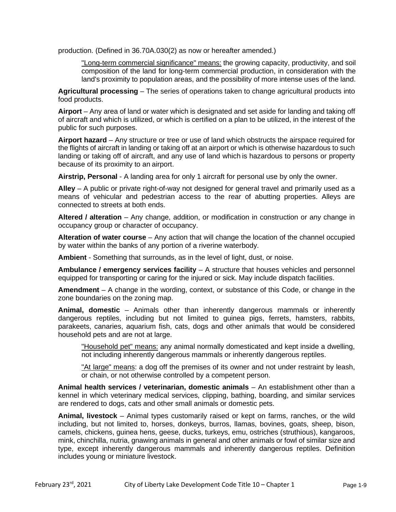production. (Defined in 36.70A.030(2) as now or hereafter amended.)

"Long-term commercial significance" means: the growing capacity, productivity, and soil composition of the land for long-term commercial production, in consideration with the land's proximity to population areas, and the possibility of more intense uses of the land.

**Agricultural processing** – The series of operations taken to change agricultural products into food products.

**Airport** – Any area of land or water which is designated and set aside for landing and taking off of aircraft and which is utilized, or which is certified on a plan to be utilized, in the interest of the public for such purposes.

**Airport hazard** – Any structure or tree or use of land which obstructs the airspace required for the flights of aircraft in landing or taking off at an airport or which is otherwise hazardous to such landing or taking off of aircraft, and any use of land which is hazardous to persons or property because of its proximity to an airport.

**Airstrip, Personal** - A landing area for only 1 aircraft for personal use by only the owner.

**Alley** – A public or private right-of-way not designed for general travel and primarily used as a means of vehicular and pedestrian access to the rear of abutting properties. Alleys are connected to streets at both ends.

**Altered / alteration** – Any change, addition, or modification in construction or any change in occupancy group or character of occupancy.

**Alteration of water course** – Any action that will change the location of the channel occupied by water within the banks of any portion of a riverine waterbody.

**Ambient** - Something that surrounds, as in the level of light, dust, or noise.

**Ambulance / emergency services facility** – A structure that houses vehicles and personnel equipped for transporting or caring for the injured or sick. May include dispatch facilities.

**Amendment** – A change in the wording, context, or substance of this Code, or change in the zone boundaries on the zoning map.

**Animal, domestic** – Animals other than inherently dangerous mammals or inherently dangerous reptiles, including but not limited to guinea pigs, ferrets, hamsters, rabbits, parakeets, canaries, aquarium fish, cats, dogs and other animals that would be considered household pets and are not at large.

"Household pet" means: any animal normally domesticated and kept inside a dwelling, not including inherently dangerous mammals or inherently dangerous reptiles.

"At large" means: a dog off the premises of its owner and not under restraint by leash, or chain, or not otherwise controlled by a competent person.

**Animal health services / veterinarian, domestic animals** – An establishment other than a kennel in which veterinary medical services, clipping, bathing, boarding, and similar services are rendered to dogs, cats and other small animals or domestic pets.

**Animal, livestock** – Animal types customarily raised or kept on farms, ranches, or the wild including, but not limited to, horses, donkeys, burros, llamas, bovines, goats, sheep, bison, camels, chickens, guinea hens, geese, ducks, turkeys, emu, ostriches (struthious), kangaroos, mink, chinchilla, nutria, gnawing animals in general and other animals or fowl of similar size and type, except inherently dangerous mammals and inherently dangerous reptiles. Definition includes young or miniature livestock.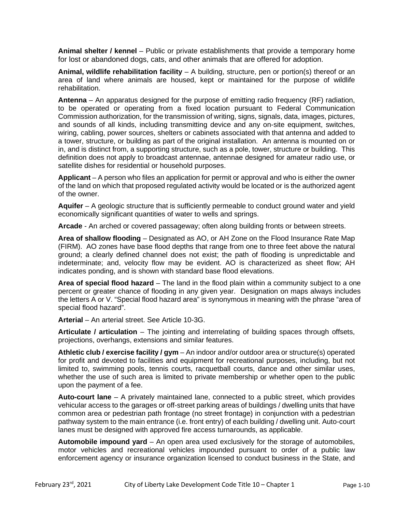**Animal shelter / kennel** – Public or private establishments that provide a temporary home for lost or abandoned dogs, cats, and other animals that are offered for adoption.

**Animal, wildlife rehabilitation facility** – A building, structure, pen or portion(s) thereof or an area of land where animals are housed, kept or maintained for the purpose of wildlife rehabilitation.

**Antenna** – An apparatus designed for the purpose of emitting radio frequency (RF) radiation, to be operated or operating from a fixed location pursuant to Federal Communication Commission authorization, for the transmission of writing, signs, signals, data, images, pictures, and sounds of all kinds, including transmitting device and any on-site equipment, switches, wiring, cabling, power sources, shelters or cabinets associated with that antenna and added to a tower, structure, or building as part of the original installation. An antenna is mounted on or in, and is distinct from, a supporting structure, such as a pole, tower, structure or building. This definition does not apply to broadcast antennae, antennae designed for amateur radio use, or satellite dishes for residential or household purposes.

**Applicant** – A person who files an application for permit or approval and who is either the owner of the land on which that proposed regulated activity would be located or is the authorized agent of the owner.

**Aquifer** – A geologic structure that is sufficiently permeable to conduct ground water and yield economically significant quantities of water to wells and springs.

**Arcade** - An arched or covered passageway; often along building fronts or between streets.

**Area of shallow flooding** – Designated as AO, or AH Zone on the Flood Insurance Rate Map (FIRM). AO zones have base flood depths that range from one to three feet above the natural ground; a clearly defined channel does not exist; the path of flooding is unpredictable and indeterminate; and, velocity flow may be evident. AO is characterized as sheet flow; AH indicates ponding, and is shown with standard base flood elevations.

**Area of special flood hazard** – The land in the flood plain within a community subject to a one percent or greater chance of flooding in any given year. Designation on maps always includes the letters A or V. "Special flood hazard area" is synonymous in meaning with the phrase "area of special flood hazard".

**Arterial** – An arterial street. See Article 10-3G.

**Articulate / articulation** – The jointing and interrelating of building spaces through offsets, projections, overhangs, extensions and similar features.

**Athletic club / exercise facility / gym** – An indoor and/or outdoor area or structure(s) operated for profit and devoted to facilities and equipment for recreational purposes, including, but not limited to, swimming pools, tennis courts, racquetball courts, dance and other similar uses, whether the use of such area is limited to private membership or whether open to the public upon the payment of a fee.

**Auto-court lane** – A privately maintained lane, connected to a public street, which provides vehicular access to the garages or off-street parking areas of buildings / dwelling units that have common area or pedestrian path frontage (no street frontage) in conjunction with a pedestrian pathway system to the main entrance (i.e. front entry) of each building / dwelling unit. Auto-court lanes must be designed with approved fire access turnarounds, as applicable.

Automobile impound yard – An open area used exclusively for the storage of automobiles. motor vehicles and recreational vehicles impounded pursuant to order of a public law enforcement agency or insurance organization licensed to conduct business in the State, and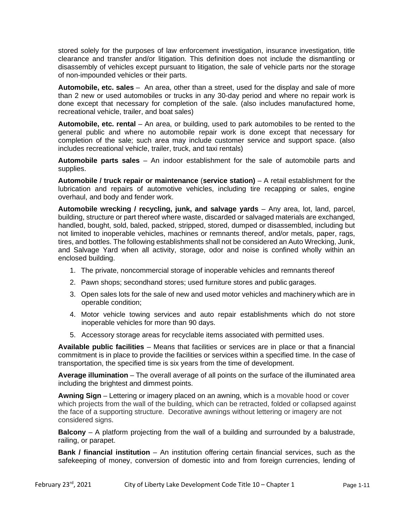stored solely for the purposes of law enforcement investigation, insurance investigation, title clearance and transfer and/or litigation. This definition does not include the dismantling or disassembly of vehicles except pursuant to litigation, the sale of vehicle parts nor the storage of non-impounded vehicles or their parts.

**Automobile, etc. sales** – An area, other than a street, used for the display and sale of more than 2 new or used automobiles or trucks in any 30-day period and where no repair work is done except that necessary for completion of the sale. (also includes manufactured home, recreational vehicle, trailer, and boat sales)

**Automobile, etc. rental** – An area, or building, used to park automobiles to be rented to the general public and where no automobile repair work is done except that necessary for completion of the sale; such area may include customer service and support space. (also includes recreational vehicle, trailer, truck, and taxi rentals)

**Automobile parts sales** – An indoor establishment for the sale of automobile parts and supplies.

**Automobile / truck repair or maintenance** (**service station)** – A retail establishment for the lubrication and repairs of automotive vehicles, including tire recapping or sales, engine overhaul, and body and fender work.

**Automobile wrecking / recycling, junk, and salvage yards** – Any area, lot, land, parcel, building, structure or part thereof where waste, discarded or salvaged materials are exchanged, handled, bought, sold, baled, packed, stripped, stored, dumped or disassembled, including but not limited to inoperable vehicles, machines or remnants thereof, and/or metals, paper, rags, tires, and bottles. The following establishments shall not be considered an Auto Wrecking, Junk, and Salvage Yard when all activity, storage, odor and noise is confined wholly within an enclosed building.

- 1. The private, noncommercial storage of inoperable vehicles and remnants thereof
- 2. Pawn shops; secondhand stores; used furniture stores and public garages.
- 3. Open sales lots for the sale of new and used motor vehicles and machinery which are in operable condition;
- 4. Motor vehicle towing services and auto repair establishments which do not store inoperable vehicles for more than 90 days.
- 5. Accessory storage areas for recyclable items associated with permitted uses.

**Available public facilities** – Means that facilities or services are in place or that a financial commitment is in place to provide the facilities or services within a specified time. In the case of transportation, the specified time is six years from the time of development.

**Average illumination** – The overall average of all points on the surface of the illuminated area including the brightest and dimmest points.

**Awning Sign** – Lettering or imagery placed on an awning, which is a movable hood or cover which projects from the wall of the building, which can be retracted, folded or collapsed against the face of a supporting structure. Decorative awnings without lettering or imagery are not considered signs.

**Balcony** – A platform projecting from the wall of a building and surrounded by a balustrade, railing, or parapet.

**Bank / financial institution** – An institution offering certain financial services, such as the safekeeping of money, conversion of domestic into and from foreign currencies, lending of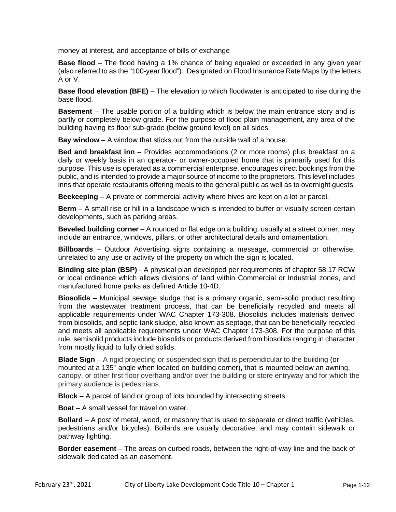money at interest, and acceptance of bills of exchange

**Base flood** – The flood having a 1% chance of being equaled or exceeded in any given year (also referred to as the "100-year flood"). Designated on Flood Insurance Rate Maps by the letters A or V.

**Base flood elevation (BFE)** – The elevation to which floodwater is anticipated to rise during the base flood.

**Basement** – The usable portion of a building which is below the main entrance story and is partly or completely below grade. For the purpose of flood plain management, any area of the building having its floor sub-grade (below ground level) on all sides.

**Bay window** – A window that sticks out from the outside wall of a house.

**Bed and breakfast inn** – Provides accommodations (2 or more rooms) plus breakfast on a daily or weekly basis in an operator- or owner-occupied home that is primarily used for this purpose. This use is operated as a commercial enterprise, encourages direct bookings from the public, and is intended to provide a major source of income to the proprietors. This level includes inns that operate restaurants offering meals to the general public as well as to overnight guests.

**Beekeeping** – A private or commercial activity where hives are kept on a lot or parcel.

**Berm** – A small rise or hill in a landscape which is intended to buffer or visually screen certain developments, such as parking areas.

**Beveled building corner** – A rounded or flat edge on a building, usually at a street corner; may include an entrance, windows, pillars, or other architectural details and ornamentation.

**Billboards** – Outdoor Advertising signs containing a message, commercial or otherwise, unrelated to any use or activity of the property on which the sign is located.

**Binding site plan (BSP)** - A physical plan developed per requirements of chapter 58.17 RCW or local ordinance which allows divisions of land within Commercial or Industrial zones, and manufactured home parks as defined Article 10-4D.

**Biosolids** – Municipal sewage sludge that is a primary organic, semi-solid product resulting from the wastewater treatment process, that can be beneficially recycled and meets all applicable requirements under WAC Chapter 173-308. Biosolids includes materials derived from biosolids, and septic tank sludge, also known as septage, that can be beneficially recycled and meets all applicable requirements under WAC Chapter 173-308. For the purpose of this rule, semisolid products include biosolids or products derived from biosolids ranging in character from mostly liquid to fully dried solids.

**Blade Sign** – A rigid projecting or suspended sign that is perpendicular to the building (or mounted at a 135 $^{\circ}$  angle when located on building corner), that is mounted below an awning, canopy, or other first floor overhang and/or over the building or store entryway and for which the primary audience is pedestrians.

**Block** – A parcel of land or group of lots bounded by intersecting streets.

**Boat** – A small vessel for travel on water.

**Bollard** – A post of metal, wood, or masonry that is used to separate or direct traffic (vehicles, pedestrians and/or bicycles). Bollards are usually decorative, and may contain sidewalk or pathway lighting.

**Border easement** – The areas on curbed roads, between the right-of-way line and the back of sidewalk dedicated as an easement.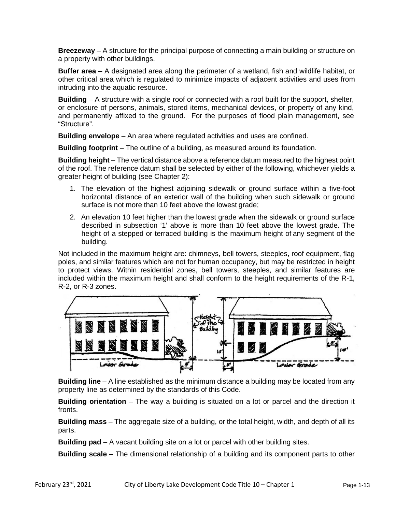**Breezeway** – A structure for the principal purpose of connecting a main building or structure on a property with other buildings.

**Buffer area** – A designated area along the perimeter of a wetland, fish and wildlife habitat, or other critical area which is regulated to minimize impacts of adjacent activities and uses from intruding into the aquatic resource.

**Building** – A structure with a single roof or connected with a roof built for the support, shelter, or enclosure of persons, animals, stored items, mechanical devices, or property of any kind, and permanently affixed to the ground. For the purposes of flood plain management, see "Structure".

**Building envelope** – An area where regulated activities and uses are confined.

**Building footprint** – The outline of a building, as measured around its foundation.

**Building height** – The vertical distance above a reference datum measured to the highest point of the roof. The reference datum shall be selected by either of the following, whichever yields a greater height of building (see Chapter 2):

- 1. The elevation of the highest adjoining sidewalk or ground surface within a five-foot horizontal distance of an exterior wall of the building when such sidewalk or ground surface is not more than 10 feet above the lowest grade;
- 2. An elevation 10 feet higher than the lowest grade when the sidewalk or ground surface described in subsection '1' above is more than 10 feet above the lowest grade. The height of a stepped or terraced building is the maximum height of any segment of the building.

Not included in the maximum height are: chimneys, bell towers, steeples, roof equipment, flag poles, and similar features which are not for human occupancy, but may be restricted in height to protect views. Within residential zones, bell towers, steeples, and similar features are included within the maximum height and shall conform to the height requirements of the R-1, R-2, or R-3 zones.



**Building line** – A line established as the minimum distance a building may be located from any property line as determined by the standards of this Code.

**Building orientation** – The way a building is situated on a lot or parcel and the direction it fronts.

**Building mass** – The aggregate size of a building, or the total height, width, and depth of all its parts.

**Building pad** – A vacant building site on a lot or parcel with other building sites.

**Building scale** – The dimensional relationship of a building and its component parts to other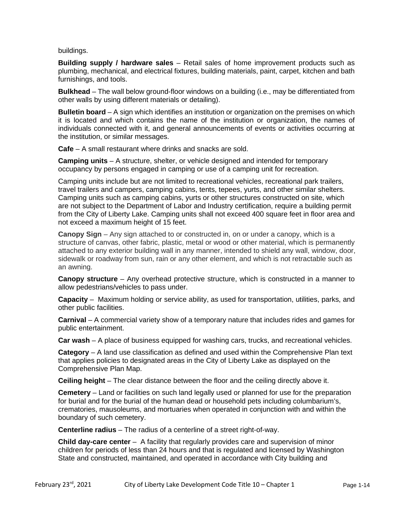buildings.

**Building supply / hardware sales** – Retail sales of home improvement products such as plumbing, mechanical, and electrical fixtures, building materials, paint, carpet, kitchen and bath furnishings, and tools.

**Bulkhead** – The wall below ground-floor windows on a building (i.e., may be differentiated from other walls by using different materials or detailing).

**Bulletin board** – A sign which identifies an institution or organization on the premises on which it is located and which contains the name of the institution or organization, the names of individuals connected with it, and general announcements of events or activities occurring at the institution, or similar messages.

**Cafe** – A small restaurant where drinks and snacks are sold.

**Camping units** – A structure, shelter, or vehicle designed and intended for temporary occupancy by persons engaged in camping or use of a camping unit for recreation.

Camping units include but are not limited to recreational vehicles, recreational park trailers, travel trailers and campers, camping cabins, tents, tepees, yurts, and other similar shelters. Camping units such as camping cabins, yurts or other structures constructed on site, which are not subject to the Department of Labor and Industry certification, require a building permit from the City of Liberty Lake. Camping units shall not exceed 400 square feet in floor area and not exceed a maximum height of 15 feet.

**Canopy Sign** – Any sign attached to or constructed in, on or under a canopy, which is a structure of canvas, other fabric, plastic, metal or wood or other material, which is permanently attached to any exterior building wall in any manner, intended to shield any wall, window, door, sidewalk or roadway from sun, rain or any other element, and which is not retractable such as an awning.

**Canopy structure** – Any overhead protective structure, which is constructed in a manner to allow pedestrians/vehicles to pass under.

**Capacity** – Maximum holding or service ability, as used for transportation, utilities, parks, and other public facilities.

**Carnival** – A commercial variety show of a temporary nature that includes rides and games for public entertainment.

**Car wash** – A place of business equipped for washing cars, trucks, and recreational vehicles.

**Category** – A land use classification as defined and used within the Comprehensive Plan text that applies policies to designated areas in the City of Liberty Lake as displayed on the Comprehensive Plan Map.

**Ceiling height** – The clear distance between the floor and the ceiling directly above it.

**Cemetery** – Land or facilities on such land legally used or planned for use for the preparation for burial and for the burial of the human dead or household pets including columbarium's, crematories, mausoleums, and mortuaries when operated in conjunction with and within the boundary of such cemetery.

**Centerline radius** – The radius of a centerline of a street right-of-way.

**Child day-care center** – A facility that regularly provides care and supervision of minor children for periods of less than 24 hours and that is regulated and licensed by Washington State and constructed, maintained, and operated in accordance with City building and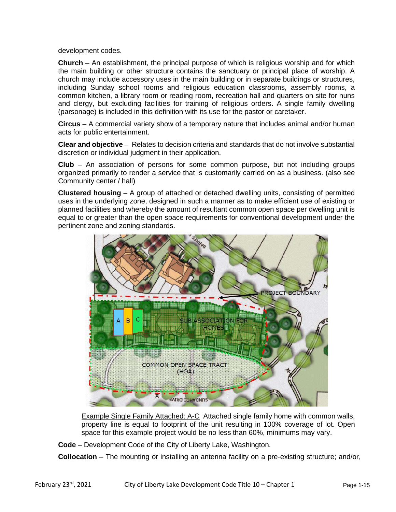development codes.

**Church** – An establishment, the principal purpose of which is religious worship and for which the main building or other structure contains the sanctuary or principal place of worship. A church may include accessory uses in the main building or in separate buildings or structures, including Sunday school rooms and religious education classrooms, assembly rooms, a common kitchen, a library room or reading room, recreation hall and quarters on site for nuns and clergy, but excluding facilities for training of religious orders. A single family dwelling (parsonage) is included in this definition with its use for the pastor or caretaker.

**Circus** – A commercial variety show of a temporary nature that includes animal and/or human acts for public entertainment.

**Clear and objective** – Relates to decision criteria and standards that do not involve substantial discretion or individual judgment in their application.

**Club** – An association of persons for some common purpose, but not including groups organized primarily to render a service that is customarily carried on as a business. (also see Community center / hall)

**Clustered housing** – A group of attached or detached dwelling units, consisting of permitted uses in the underlying zone, designed in such a manner as to make efficient use of existing or planned facilities and whereby the amount of resultant common open space per dwelling unit is equal to or greater than the open space requirements for conventional development under the pertinent zone and zoning standards.



Example Single Family Attached: A-C Attached single family home with common walls, property line is equal to footprint of the unit resulting in 100% coverage of lot. Open space for this example project would be no less than 60%, minimums may vary.

**Code** – Development Code of the City of Liberty Lake, Washington.

**Collocation** – The mounting or installing an antenna facility on a pre-existing structure; and/or,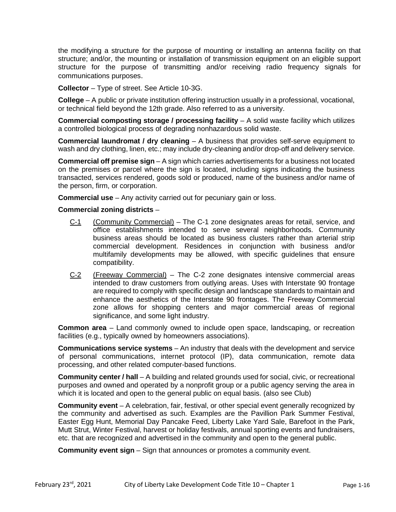the modifying a structure for the purpose of mounting or installing an antenna facility on that structure; and/or, the mounting or installation of transmission equipment on an eligible support structure for the purpose of transmitting and/or receiving radio frequency signals for communications purposes.

**Collector** – Type of street. See Article 10-3G.

**College** – A public or private institution offering instruction usually in a professional, vocational, or technical field beyond the 12th grade. Also referred to as a university.

**Commercial composting storage / processing facility** – A solid waste facility which utilizes a controlled biological process of degrading nonhazardous solid waste.

**Commercial laundromat / dry cleaning** – A business that provides self-serve equipment to wash and dry clothing, linen, etc.; may include dry-cleaning and/or drop-off and delivery service.

**Commercial off premise sign** – A sign which carries advertisements for a business not located on the premises or parcel where the sign is located, including signs indicating the business transacted, services rendered, goods sold or produced, name of the business and/or name of the person, firm, or corporation.

**Commercial use** – Any activity carried out for pecuniary gain or loss.

#### **Commercial zoning districts** –

- C-1 (Community Commercial) The C-1 zone designates areas for retail, service, and office establishments intended to serve several neighborhoods. Community business areas should be located as business clusters rather than arterial strip commercial development. Residences in conjunction with business and/or multifamily developments may be allowed, with specific guidelines that ensure compatibility.
- C-2 (Freeway Commercial) The C-2 zone designates intensive commercial areas intended to draw customers from outlying areas. Uses with Interstate 90 frontage are required to comply with specific design and landscape standards to maintain and enhance the aesthetics of the Interstate 90 frontages. The Freeway Commercial zone allows for shopping centers and major commercial areas of regional significance, and some light industry.

**Common area** – Land commonly owned to include open space, landscaping, or recreation facilities (e.g., typically owned by homeowners associations).

**Communications service systems** – An industry that deals with the development and service of personal communications, internet protocol (IP), data communication, remote data processing, and other related computer-based functions.

**Community center / hall** – A building and related grounds used for social, civic, or recreational purposes and owned and operated by a nonprofit group or a public agency serving the area in which it is located and open to the general public on equal basis. (also see Club)

**Community event** – A celebration, fair, festival, or other special event generally recognized by the community and advertised as such. Examples are the Pavillion Park Summer Festival, Easter Egg Hunt, Memorial Day Pancake Feed, Liberty Lake Yard Sale, Barefoot in the Park, Mutt Strut, Winter Festival, harvest or holiday festivals, annual sporting events and fundraisers, etc. that are recognized and advertised in the community and open to the general public.

**Community event sign** – Sign that announces or promotes a community event.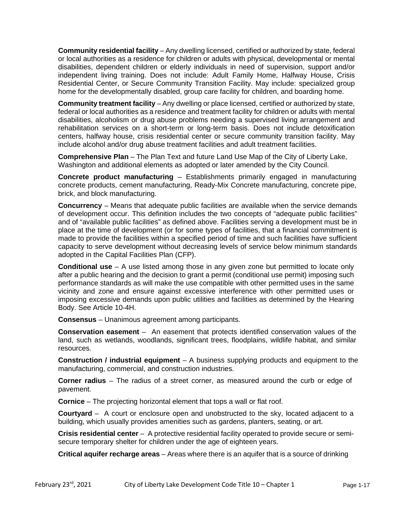**Community residential facility** – Any dwelling licensed, certified or authorized by state, federal or local authorities as a residence for children or adults with physical, developmental or mental disabilities, dependent children or elderly individuals in need of supervision, support and/or independent living training. Does not include: Adult Family Home, Halfway House, Crisis Residential Center, or Secure Community Transition Facility. May include: specialized group home for the developmentally disabled, group care facility for children, and boarding home.

**Community treatment facility** – Any dwelling or place licensed, certified or authorized by state, federal or local authorities as a residence and treatment facility for children or adults with mental disabilities, alcoholism or drug abuse problems needing a supervised living arrangement and rehabilitation services on a short-term or long-term basis. Does not include detoxification centers, halfway house, crisis residential center or secure community transition facility. May include alcohol and/or drug abuse treatment facilities and adult treatment facilities.

**Comprehensive Plan** – The Plan Text and future Land Use Map of the City of Liberty Lake, Washington and additional elements as adopted or later amended by the City Council.

**Concrete product manufacturing** – Establishments primarily engaged in manufacturing concrete products, cement manufacturing, Ready-Mix Concrete manufacturing, concrete pipe, brick, and block manufacturing.

**Concurrency** – Means that adequate public facilities are available when the service demands of development occur. This definition includes the two concepts of "adequate public facilities" and of "available public facilities" as defined above. Facilities serving a development must be in place at the time of development (or for some types of facilities, that a financial commitment is made to provide the facilities within a specified period of time and such facilities have sufficient capacity to serve development without decreasing levels of service below minimum standards adopted in the Capital Facilities Plan (CFP).

**Conditional use** – A use listed among those in any given zone but permitted to locate only after a public hearing and the decision to grant a permit (conditional use permit) imposing such performance standards as will make the use compatible with other permitted uses in the same vicinity and zone and ensure against excessive interference with other permitted uses or imposing excessive demands upon public utilities and facilities as determined by the Hearing Body. See Article 10-4H.

**Consensus** – Unanimous agreement among participants.

**Conservation easement** – An easement that protects identified conservation values of the land, such as wetlands, woodlands, significant trees, floodplains, wildlife habitat, and similar resources.

**Construction / industrial equipment** – A business supplying products and equipment to the manufacturing, commercial, and construction industries.

**Corner radius** – The radius of a street corner, as measured around the curb or edge of pavement.

**Cornice** – The projecting horizontal element that tops a wall or flat roof.

**Courtyard** – A court or enclosure open and unobstructed to the sky, located adjacent to a building, which usually provides amenities such as gardens, planters, seating, or art.

**Crisis residential center** – A protective residential facility operated to provide secure or semisecure temporary shelter for children under the age of eighteen years.

**Critical aquifer recharge areas** – Areas where there is an aquifer that is a source of drinking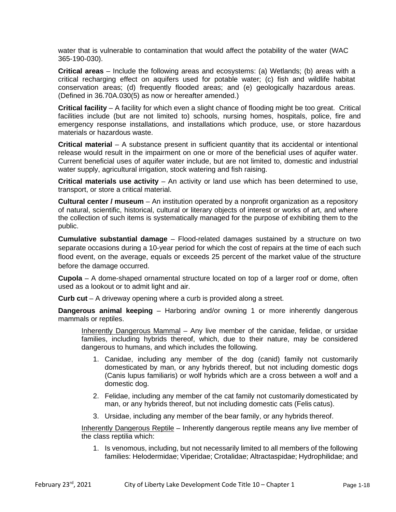water that is vulnerable to contamination that would affect the potability of the water (WAC 365-190-030).

**Critical areas** – Include the following areas and ecosystems: (a) Wetlands; (b) areas with a critical recharging effect on aquifers used for potable water; (c) fish and wildlife habitat conservation areas; (d) frequently flooded areas; and (e) geologically hazardous areas. (Defined in 36.70A.030(5) as now or hereafter amended.)

**Critical facility** – A facility for which even a slight chance of flooding might be too great. Critical facilities include (but are not limited to) schools, nursing homes, hospitals, police, fire and emergency response installations, and installations which produce, use, or store hazardous materials or hazardous waste.

**Critical material** – A substance present in sufficient quantity that its accidental or intentional release would result in the impairment on one or more of the beneficial uses of aquifer water. Current beneficial uses of aquifer water include, but are not limited to, domestic and industrial water supply, agricultural irrigation, stock watering and fish raising.

**Critical materials use activity** – An activity or land use which has been determined to use, transport, or store a critical material.

**Cultural center / museum** – An institution operated by a nonprofit organization as a repository of natural, scientific, historical, cultural or literary objects of interest or works of art, and where the collection of such items is systematically managed for the purpose of exhibiting them to the public.

**Cumulative substantial damage** – Flood-related damages sustained by a structure on two separate occasions during a 10-year period for which the cost of repairs at the time of each such flood event, on the average, equals or exceeds 25 percent of the market value of the structure before the damage occurred.

**Cupola** – A dome-shaped ornamental structure located on top of a larger roof or dome, often used as a lookout or to admit light and air.

**Curb cut** – A driveway opening where a curb is provided along a street.

**Dangerous animal keeping** – Harboring and/or owning 1 or more inherently dangerous mammals or reptiles.

Inherently Dangerous Mammal – Any live member of the canidae, felidae, or ursidae families, including hybrids thereof, which, due to their nature, may be considered dangerous to humans, and which includes the following.

- 1. Canidae, including any member of the dog (canid) family not customarily domesticated by man, or any hybrids thereof, but not including domestic dogs (Canis lupus familiaris) or wolf hybrids which are a cross between a wolf and a domestic dog.
- 2. Felidae, including any member of the cat family not customarily domesticated by man, or any hybrids thereof, but not including domestic cats (Felis catus).
- 3. Ursidae, including any member of the bear family, or any hybrids thereof.

Inherently Dangerous Reptile – Inherently dangerous reptile means any live member of the class reptilia which:

1. Is venomous, including, but not necessarily limited to all members of the following families: Helodermidae; Viperidae; Crotalidae; Altractaspidae; Hydrophilidae; and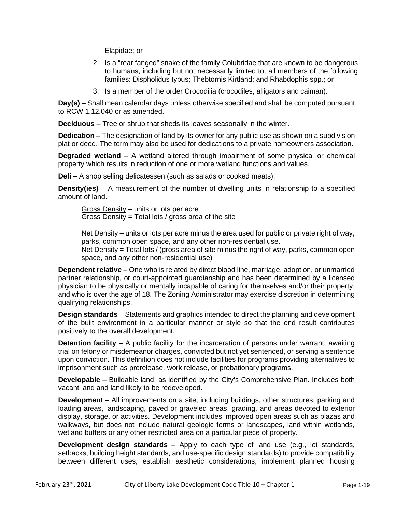Elapidae; or

- 2. Is a "rear fanged" snake of the family Colubridae that are known to be dangerous to humans, including but not necessarily limited to, all members of the following families: Dispholidus typus; Thebtornis Kirtland; and Rhabdophis spp.; or
- 3. Is a member of the order Crocodilia (crocodiles, alligators and caiman).

**Day(s)** – Shall mean calendar days unless otherwise specified and shall be computed pursuant to RCW 1.12.040 or as amended.

**Deciduous** – Tree or shrub that sheds its leaves seasonally in the winter.

**Dedication** – The designation of land by its owner for any public use as shown on a subdivision plat or deed. The term may also be used for dedications to a private homeowners association.

**Degraded wetland** – A wetland altered through impairment of some physical or chemical property which results in reduction of one or more wetland functions and values.

**Deli** – A shop selling delicatessen (such as salads or cooked meats).

**Density(ies)** – A measurement of the number of dwelling units in relationship to a specified amount of land.

Gross Density – units or lots per acre Gross Density = Total lots / gross area of the site

Net Density – units or lots per acre minus the area used for public or private right of way, parks, common open space, and any other non-residential use.

Net Density = Total lots / (gross area of site minus the right of way, parks, common open space, and any other non-residential use)

**Dependent relative** – One who is related by direct blood line, marriage, adoption, or unmarried partner relationship, or court-appointed guardianship and has been determined by a licensed physician to be physically or mentally incapable of caring for themselves and/or their property; and who is over the age of 18. The Zoning Administrator may exercise discretion in determining qualifying relationships.

**Design standards** – Statements and graphics intended to direct the planning and development of the built environment in a particular manner or style so that the end result contributes positively to the overall development.

**Detention facility** – A public facility for the incarceration of persons under warrant, awaiting trial on felony or misdemeanor charges, convicted but not yet sentenced, or serving a sentence upon conviction. This definition does not include facilities for programs providing alternatives to imprisonment such as prerelease, work release, or probationary programs.

**Developable** – Buildable land, as identified by the City's Comprehensive Plan. Includes both vacant land and land likely to be redeveloped.

**Development** – All improvements on a site, including buildings, other structures, parking and loading areas, landscaping, paved or graveled areas, grading, and areas devoted to exterior display, storage, or activities. Development includes improved open areas such as plazas and walkways, but does not include natural geologic forms or landscapes, land within wetlands, wetland buffers or any other restricted area on a particular piece of property.

**Development design standards** – Apply to each type of land use (e.g., lot standards, setbacks, building height standards, and use-specific design standards) to provide compatibility between different uses, establish aesthetic considerations, implement planned housing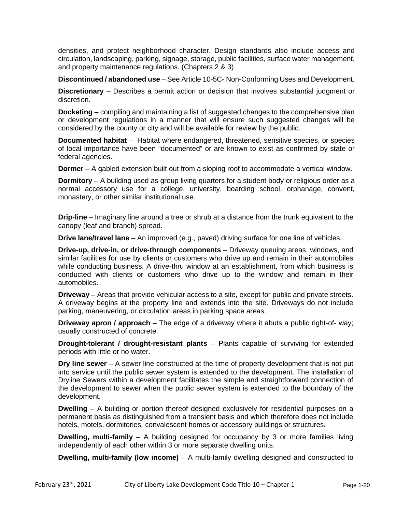densities, and protect neighborhood character. Design standards also include access and circulation, landscaping, parking, signage, storage, public facilities, surface water management, and property maintenance regulations. (Chapters 2 & 3)

**Discontinued / abandoned use** – See Article 10-5C- Non-Conforming Uses and Development.

**Discretionary** – Describes a permit action or decision that involves substantial judgment or discretion.

**Docketing** – compiling and maintaining a list of suggested changes to the comprehensive plan or development regulations in a manner that will ensure such suggested changes will be considered by the county or city and will be available for review by the public.

**Documented habitat** – Habitat where endangered, threatened, sensitive species, or species of local importance have been "documented" or are known to exist as confirmed by state or federal agencies.

**Dormer** – A gabled extension built out from a sloping roof to accommodate a vertical window.

**Dormitory** – A building used as group living quarters for a student body or religious order as a normal accessory use for a college, university, boarding school, orphanage, convent, monastery, or other similar institutional use.

**Drip-line** – Imaginary line around a tree or shrub at a distance from the trunk equivalent to the canopy (leaf and branch) spread.

**Drive lane/travel lane** – An improved (e.g., paved) driving surface for one line of vehicles.

**Drive-up, drive-in, or drive-through components** – Driveway queuing areas, windows, and similar facilities for use by clients or customers who drive up and remain in their automobiles while conducting business. A drive-thru window at an establishment, from which business is conducted with clients or customers who drive up to the window and remain in their automobiles.

**Driveway** – Areas that provide vehicular access to a site, except for public and private streets. A driveway begins at the property line and extends into the site. Driveways do not include parking, maneuvering, or circulation areas in parking space areas.

**Driveway apron / approach** – The edge of a driveway where it abuts a public right-of- way; usually constructed of concrete.

**Drought-tolerant / drought-resistant plants** – Plants capable of surviving for extended periods with little or no water.

**Dry line sewer** – A sewer line constructed at the time of property development that is not put into service until the public sewer system is extended to the development. The installation of Dryline Sewers within a development facilitates the simple and straightforward connection of the development to sewer when the public sewer system is extended to the boundary of the development.

**Dwelling** – A building or portion thereof designed exclusively for residential purposes on a permanent basis as distinguished from a transient basis and which therefore does not include hotels, motels, dormitories, convalescent homes or accessory buildings or structures.

**Dwelling, multi-family** – A building designed for occupancy by 3 or more families living independently of each other within 3 or more separate dwelling units.

**Dwelling, multi-family (low income)** – A multi-family dwelling designed and constructed to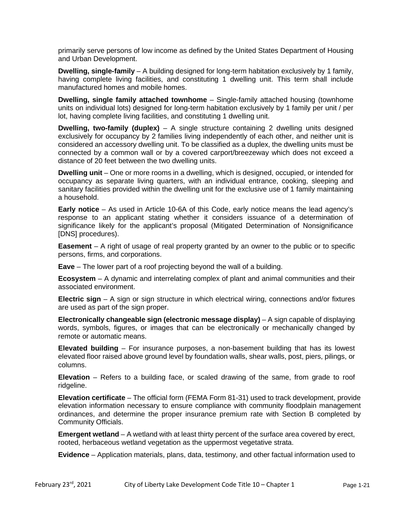primarily serve persons of low income as defined by the United States Department of Housing and Urban Development.

**Dwelling, single-family** – A building designed for long-term habitation exclusively by 1 family, having complete living facilities, and constituting 1 dwelling unit. This term shall include manufactured homes and mobile homes.

**Dwelling, single family attached townhome** – Single-family attached housing (townhome units on individual lots) designed for long-term habitation exclusively by 1 family per unit / per lot, having complete living facilities, and constituting 1 dwelling unit.

**Dwelling, two-family (duplex)** – A single structure containing 2 dwelling units designed exclusively for occupancy by 2 families living independently of each other, and neither unit is considered an accessory dwelling unit. To be classified as a duplex, the dwelling units must be connected by a common wall or by a covered carport/breezeway which does not exceed a distance of 20 feet between the two dwelling units.

**Dwelling unit** – One or more rooms in a dwelling, which is designed, occupied, or intended for occupancy as separate living quarters, with an individual entrance, cooking, sleeping and sanitary facilities provided within the dwelling unit for the exclusive use of 1 family maintaining a household.

**Early notice** – As used in Article 10-6A of this Code, early notice means the lead agency's response to an applicant stating whether it considers issuance of a determination of significance likely for the applicant's proposal (Mitigated Determination of Nonsignificance [DNS] procedures).

**Easement** – A right of usage of real property granted by an owner to the public or to specific persons, firms, and corporations.

**Eave** – The lower part of a roof projecting beyond the wall of a building.

**Ecosystem** – A dynamic and interrelating complex of plant and animal communities and their associated environment.

**Electric sign** – A sign or sign structure in which electrical wiring, connections and/or fixtures are used as part of the sign proper.

**Electronically changeable sign (electronic message display)** – A sign capable of displaying words, symbols, figures, or images that can be electronically or mechanically changed by remote or automatic means.

**Elevated building** – For insurance purposes, a non-basement building that has its lowest elevated floor raised above ground level by foundation walls, shear walls, post, piers, pilings, or columns.

**Elevation** – Refers to a building face, or scaled drawing of the same, from grade to roof ridgeline.

**Elevation certificate** – The official form (FEMA Form 81-31) used to track development, provide elevation information necessary to ensure compliance with community floodplain management ordinances, and determine the proper insurance premium rate with Section B completed by Community Officials.

**Emergent wetland** – A wetland with at least thirty percent of the surface area covered by erect, rooted, herbaceous wetland vegetation as the uppermost vegetative strata.

**Evidence** – Application materials, plans, data, testimony, and other factual information used to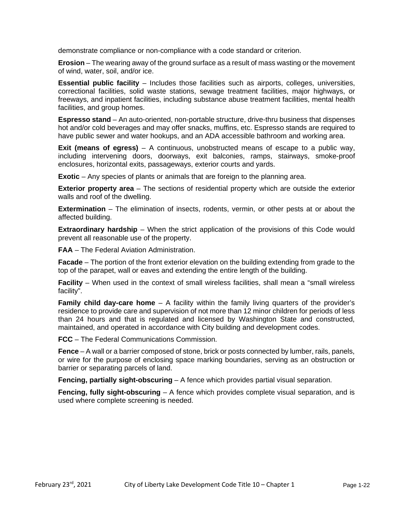demonstrate compliance or non-compliance with a code standard or criterion.

**Erosion** – The wearing away of the ground surface as a result of mass wasting or the movement of wind, water, soil, and/or ice.

**Essential public facility** – Includes those facilities such as airports, colleges, universities, correctional facilities, solid waste stations, sewage treatment facilities, major highways, or freeways, and inpatient facilities, including substance abuse treatment facilities, mental health facilities, and group homes.

**Espresso stand** – An auto-oriented, non-portable structure, drive-thru business that dispenses hot and/or cold beverages and may offer snacks, muffins, etc. Espresso stands are required to have public sewer and water hookups, and an ADA accessible bathroom and working area.

**Exit (means of egress)** – A continuous, unobstructed means of escape to a public way, including intervening doors, doorways, exit balconies, ramps, stairways, smoke-proof enclosures, horizontal exits, passageways, exterior courts and yards.

**Exotic** – Any species of plants or animals that are foreign to the planning area.

**Exterior property area** – The sections of residential property which are outside the exterior walls and roof of the dwelling.

**Extermination** – The elimination of insects, rodents, vermin, or other pests at or about the affected building.

**Extraordinary hardship** – When the strict application of the provisions of this Code would prevent all reasonable use of the property.

**FAA** – The Federal Aviation Administration.

**Facade** – The portion of the front exterior elevation on the building extending from grade to the top of the parapet, wall or eaves and extending the entire length of the building.

**Facility** – When used in the context of small wireless facilities, shall mean a "small wireless facility".

**Family child day-care home** – A facility within the family living quarters of the provider's residence to provide care and supervision of not more than 12 minor children for periods of less than 24 hours and that is regulated and licensed by Washington State and constructed, maintained, and operated in accordance with City building and development codes.

**FCC** – The Federal Communications Commission.

**Fence** – A wall or a barrier composed of stone, brick or posts connected by lumber, rails, panels, or wire for the purpose of enclosing space marking boundaries, serving as an obstruction or barrier or separating parcels of land.

**Fencing, partially sight-obscuring** – A fence which provides partial visual separation.

**Fencing, fully sight-obscuring** – A fence which provides complete visual separation, and is used where complete screening is needed.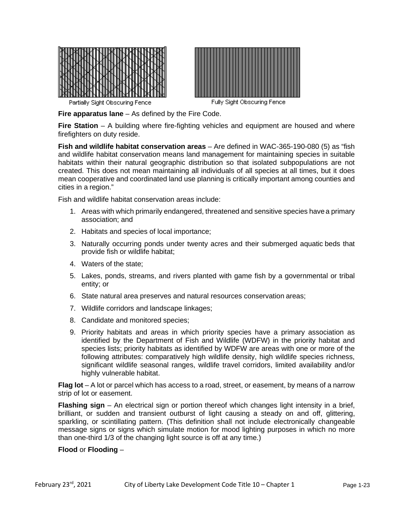



Partially Sight Obscuring Fence

Fully Sight Obscuring Fence

**Fire apparatus lane** – As defined by the Fire Code.

**Fire Station** – A building where fire-fighting vehicles and equipment are housed and where firefighters on duty reside.

**Fish and wildlife habitat conservation areas** – Are defined in WAC-365-190-080 (5) as "fish and wildlife habitat conservation means land management for maintaining species in suitable habitats within their natural geographic distribution so that isolated subpopulations are not created. This does not mean maintaining all individuals of all species at all times, but it does mean cooperative and coordinated land use planning is critically important among counties and cities in a region."

Fish and wildlife habitat conservation areas include:

- 1. Areas with which primarily endangered, threatened and sensitive species have a primary association; and
- 2. Habitats and species of local importance;
- 3. Naturally occurring ponds under twenty acres and their submerged aquatic beds that provide fish or wildlife habitat;
- 4. Waters of the state;
- 5. Lakes, ponds, streams, and rivers planted with game fish by a governmental or tribal entity; or
- 6. State natural area preserves and natural resources conservation areas;
- 7. Wildlife corridors and landscape linkages;
- 8. Candidate and monitored species;
- 9. Priority habitats and areas in which priority species have a primary association as identified by the Department of Fish and Wildlife (WDFW) in the priority habitat and species lists; priority habitats as identified by WDFW are areas with one or more of the following attributes: comparatively high wildlife density, high wildlife species richness, significant wildlife seasonal ranges, wildlife travel corridors, limited availability and/or highly vulnerable habitat.

**Flag lot** – A lot or parcel which has access to a road, street, or easement, by means of a narrow strip of lot or easement.

**Flashing sign** – An electrical sign or portion thereof which changes light intensity in a brief, brilliant, or sudden and transient outburst of light causing a steady on and off, glittering, sparkling, or scintillating pattern. (This definition shall not include electronically changeable message signs or signs which simulate motion for mood lighting purposes in which no more than one-third 1/3 of the changing light source is off at any time.)

#### **Flood** or **Flooding** –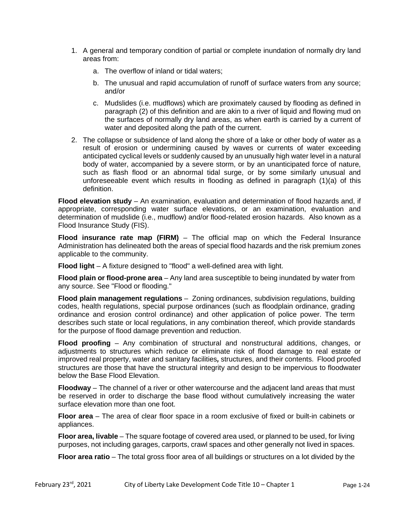- 1. A general and temporary condition of partial or complete inundation of normally dry land areas from:
	- a. The overflow of inland or tidal waters;
	- b. The unusual and rapid accumulation of runoff of surface waters from any source; and/or
	- c. Mudslides (i.e. mudflows) which are proximately caused by flooding as defined in paragraph (2) of this definition and are akin to a river of liquid and flowing mud on the surfaces of normally dry land areas, as when earth is carried by a current of water and deposited along the path of the current.
- 2. The collapse or subsidence of land along the shore of a lake or other body of water as a result of erosion or undermining caused by waves or currents of water exceeding anticipated cyclical levels or suddenly caused by an unusually high water level in a natural body of water, accompanied by a severe storm, or by an unanticipated force of nature, such as flash flood or an abnormal tidal surge, or by some similarly unusual and unforeseeable event which results in flooding as defined in paragraph (1)(a) of this definition.

**Flood elevation study** – An examination, evaluation and determination of flood hazards and, if appropriate, corresponding water surface elevations, or an examination, evaluation and determination of mudslide (i.e., mudflow) and/or flood-related erosion hazards. Also known as a Flood Insurance Study (FIS).

**Flood insurance rate map (FIRM)** – The official map on which the Federal Insurance Administration has delineated both the areas of special flood hazards and the risk premium zones applicable to the community.

**Flood light** – A fixture designed to "flood" a well-defined area with light.

**Flood plain or flood-prone area** – Any land area susceptible to being inundated by water from any source. See "Flood or flooding."

**Flood plain management regulations** – Zoning ordinances, subdivision regulations, building codes, health regulations, special purpose ordinances (such as floodplain ordinance, grading ordinance and erosion control ordinance) and other application of police power. The term describes such state or local regulations, in any combination thereof, which provide standards for the purpose of flood damage prevention and reduction.

**Flood proofing** – Any combination of structural and nonstructural additions, changes, or adjustments to structures which reduce or eliminate risk of flood damage to real estate or improved real property, water and sanitary facilities*,* structures, and their contents. Flood proofed structures are those that have the structural integrity and design to be impervious to floodwater below the Base Flood Elevation.

**Floodway** – The channel of a river or other watercourse and the adjacent land areas that must be reserved in order to discharge the base flood without cumulatively increasing the water surface elevation more than one foot.

**Floor area** – The area of clear floor space in a room exclusive of fixed or built-in cabinets or appliances.

**Floor area, livable** – The square footage of covered area used, or planned to be used, for living purposes, not including garages, carports, crawl spaces and other generally not lived in spaces.

**Floor area ratio** – The total gross floor area of all buildings or structures on a lot divided by the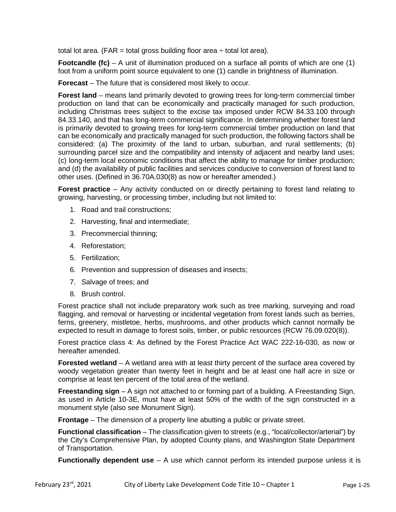total lot area. (FAR = total gross building floor area  $\div$  total lot area).

**Footcandle (fc)** – A unit of illumination produced on a surface all points of which are one (1) foot from a uniform point source equivalent to one (1) candle in brightness of illumination.

**Forecast** – The future that is considered most likely to occur.

**Forest land** – means land primarily devoted to growing trees for long-term commercial timber production on land that can be economically and practically managed for such production, including Christmas trees subject to the excise tax imposed under RCW 84.33.100 through 84.33.140, and that has long-term commercial significance. In determining whether forest land is primarily devoted to growing trees for long-term commercial timber production on land that can be economically and practically managed for such production, the following factors shall be considered: (a) The proximity of the land to urban, suburban, and rural settlements; (b) surrounding parcel size and the compatibility and intensity of adjacent and nearby land uses; (c) long-term local economic conditions that affect the ability to manage for timber production; and (d) the availability of public facilities and services conducive to conversion of forest land to other uses. (Defined in 36.70A.030(8) as now or hereafter amended.)

**Forest practice** – Any activity conducted on or directly pertaining to forest land relating to growing, harvesting, or processing timber, including but not limited to:

- 1. Road and trail constructions;
- 2. Harvesting, final and intermediate;
- 3. Precommercial thinning;
- 4. Reforestation;
- 5. Fertilization;
- 6. Prevention and suppression of diseases and insects;
- 7. Salvage of trees; and
- 8. Brush control.

Forest practice shall not include preparatory work such as tree marking, surveying and road flagging, and removal or harvesting or incidental vegetation from forest lands such as berries, ferns, greenery, mistletoe, herbs, mushrooms, and other products which cannot normally be expected to result in damage to forest soils, timber, or public resources (RCW 76.09.020(8)).

Forest practice class 4: As defined by the Forest Practice Act WAC 222-16-030, as now or hereafter amended.

**Forested wetland** – A wetland area with at least thirty percent of the surface area covered by woody vegetation greater than twenty feet in height and be at least one half acre in size or comprise at least ten percent of the total area of the wetland.

**Freestanding sign** – A sign not attached to or forming part of a building. A Freestanding Sign, as used in Article 10-3E, must have at least 50% of the width of the sign constructed in a monument style (also see Monument Sign).

**Frontage** – The dimension of a property line abutting a public or private street.

**Functional classification** – The classification given to streets (e.g., "local/collector/arterial") by the City's Comprehensive Plan, by adopted County plans, and Washington State Department of Transportation.

**Functionally dependent use** – A use which cannot perform its intended purpose unless it is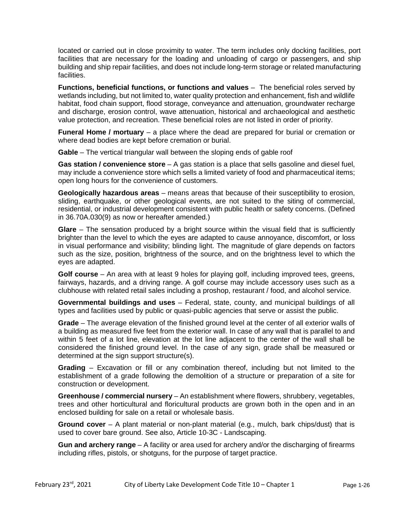located or carried out in close proximity to water. The term includes only docking facilities, port facilities that are necessary for the loading and unloading of cargo or passengers, and ship building and ship repair facilities, and does not include long-term storage or related manufacturing facilities.

**Functions, beneficial functions, or functions and values** – The beneficial roles served by wetlands including, but not limited to, water quality protection and enhancement, fish and wildlife habitat, food chain support, flood storage, conveyance and attenuation, groundwater recharge and discharge, erosion control, wave attenuation, historical and archaeological and aesthetic value protection, and recreation. These beneficial roles are not listed in order of priority.

**Funeral Home / mortuary** – a place where the dead are prepared for burial or cremation or where dead bodies are kept before cremation or burial.

**Gable** – The vertical triangular wall between the sloping ends of gable roof

**Gas station / convenience store** – A gas station is a place that sells gasoline and diesel fuel, may include a convenience store which sells a limited variety of food and pharmaceutical items; open long hours for the convenience of customers.

**Geologically hazardous areas** – means areas that because of their susceptibility to erosion, sliding, earthquake, or other geological events, are not suited to the siting of commercial, residential, or industrial development consistent with public health or safety concerns. (Defined in 36.70A.030(9) as now or hereafter amended.)

**Glare** – The sensation produced by a bright source within the visual field that is sufficiently brighter than the level to which the eyes are adapted to cause annoyance, discomfort, or loss in visual performance and visibility; blinding light. The magnitude of glare depends on factors such as the size, position, brightness of the source, and on the brightness level to which the eyes are adapted.

**Golf course** – An area with at least 9 holes for playing golf, including improved tees, greens, fairways, hazards, and a driving range. A golf course may include accessory uses such as a clubhouse with related retail sales including a proshop, restaurant / food, and alcohol service.

**Governmental buildings and uses** – Federal, state, county, and municipal buildings of all types and facilities used by public or quasi-public agencies that serve or assist the public.

**Grade** – The average elevation of the finished ground level at the center of all exterior walls of a building as measured five feet from the exterior wall. In case of any wall that is parallel to and within 5 feet of a lot line, elevation at the lot line adjacent to the center of the wall shall be considered the finished ground level. In the case of any sign, grade shall be measured or determined at the sign support structure(s).

**Grading** – Excavation or fill or any combination thereof, including but not limited to the establishment of a grade following the demolition of a structure or preparation of a site for construction or development.

**Greenhouse / commercial nursery** – An establishment where flowers, shrubbery, vegetables, trees and other horticultural and floricultural products are grown both in the open and in an enclosed building for sale on a retail or wholesale basis.

**Ground cover** – A plant material or non-plant material (e.g., mulch, bark chips/dust) that is used to cover bare ground. See also, Article 10-3C - Landscaping.

**Gun and archery range** – A facility or area used for archery and/or the discharging of firearms including rifles, pistols, or shotguns, for the purpose of target practice.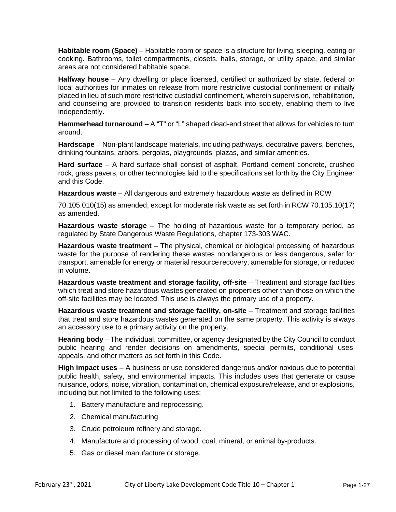**Habitable room (Space)** – Habitable room or space is a structure for living, sleeping, eating or cooking. Bathrooms, toilet compartments, closets, halls, storage, or utility space, and similar areas are not considered habitable space.

**Halfway house** – Any dwelling or place licensed, certified or authorized by state, federal or local authorities for inmates on release from more restrictive custodial confinement or initially placed in lieu of such more restrictive custodial confinement, wherein supervision, rehabilitation, and counseling are provided to transition residents back into society, enabling them to live independently.

**Hammerhead turnaround** – A "T" or "L" shaped dead-end street that allows for vehicles to turn around.

**Hardscape** – Non-plant landscape materials, including pathways, decorative pavers, benches, drinking fountains, arbors, pergolas, playgrounds, plazas, and similar amenities.

**Hard surface** – A hard surface shall consist of asphalt, Portland cement concrete, crushed rock, grass pavers, or other technologies laid to the specifications set forth by the City Engineer and this Code.

**Hazardous waste** – All dangerous and extremely hazardous waste as defined in RCW

70.105.010(15) as amended, except for moderate risk waste as set forth in RCW 70.105.10(17) as amended.

**Hazardous waste storage** – The holding of hazardous waste for a temporary period, as regulated by State Dangerous Waste Regulations, chapter 173-303 WAC.

**Hazardous waste treatment** – The physical, chemical or biological processing of hazardous waste for the purpose of rendering these wastes nondangerous or less dangerous, safer for transport, amenable for energy or material resource recovery, amenable for storage, or reduced in volume.

**Hazardous waste treatment and storage facility, off-site** – Treatment and storage facilities which treat and store hazardous wastes generated on properties other than those on which the off-site facilities may be located. This use is always the primary use of a property.

Hazardous waste treatment and storage facility, on-site - Treatment and storage facilities that treat and store hazardous wastes generated on the same property. This activity is always an accessory use to a primary activity on the property.

**Hearing body** – The individual, committee, or agency designated by the City Council to conduct public hearing and render decisions on amendments, special permits, conditional uses, appeals, and other matters as set forth in this Code.

**High impact uses** – A business or use considered dangerous and/or noxious due to potential public health, safety, and environmental impacts. This includes uses that generate or cause nuisance, odors, noise, vibration, contamination, chemical exposure/release, and or explosions, including but not limited to the following uses:

- 1. Battery manufacture and reprocessing.
- 2. Chemical manufacturing
- 3. Crude petroleum refinery and storage.
- 4. Manufacture and processing of wood, coal, mineral, or animal by-products.
- 5. Gas or diesel manufacture or storage.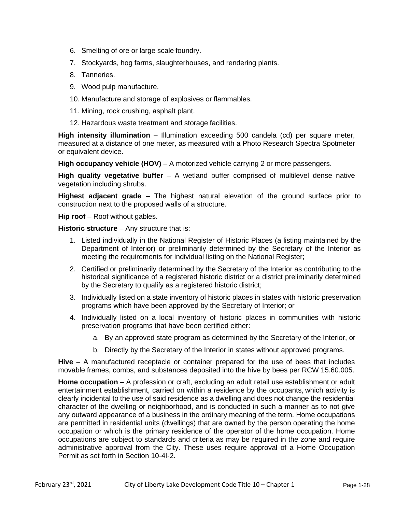- 6. Smelting of ore or large scale foundry.
- 7. Stockyards, hog farms, slaughterhouses, and rendering plants.
- 8. Tanneries.
- 9. Wood pulp manufacture.
- 10. Manufacture and storage of explosives or flammables.
- 11. Mining, rock crushing, asphalt plant.
- 12. Hazardous waste treatment and storage facilities.

**High intensity illumination** – Illumination exceeding 500 candela (cd) per square meter, measured at a distance of one meter, as measured with a Photo Research Spectra Spotmeter or equivalent device.

**High occupancy vehicle (HOV)** – A motorized vehicle carrying 2 or more passengers.

**High quality vegetative buffer** – A wetland buffer comprised of multilevel dense native vegetation including shrubs.

**Highest adjacent grade** – The highest natural elevation of the ground surface prior to construction next to the proposed walls of a structure.

**Hip roof** – Roof without gables.

**Historic structure** – Any structure that is:

- 1. Listed individually in the National Register of Historic Places (a listing maintained by the Department of Interior) or preliminarily determined by the Secretary of the Interior as meeting the requirements for individual listing on the National Register;
- 2. Certified or preliminarily determined by the Secretary of the Interior as contributing to the historical significance of a registered historic district or a district preliminarily determined by the Secretary to qualify as a registered historic district;
- 3. Individually listed on a state inventory of historic places in states with historic preservation programs which have been approved by the Secretary of Interior; or
- 4. Individually listed on a local inventory of historic places in communities with historic preservation programs that have been certified either:
	- a. By an approved state program as determined by the Secretary of the Interior, or
	- b. Directly by the Secretary of the Interior in states without approved programs.

**Hive** – A manufactured receptacle or container prepared for the use of bees that includes movable frames, combs, and substances deposited into the hive by bees per RCW 15.60.005.

**Home occupation** – A profession or craft, excluding an adult retail use establishment or adult entertainment establishment, carried on within a residence by the occupants, which activity is clearly incidental to the use of said residence as a dwelling and does not change the residential character of the dwelling or neighborhood, and is conducted in such a manner as to not give any outward appearance of a business in the ordinary meaning of the term. Home occupations are permitted in residential units (dwellings) that are owned by the person operating the home occupation or which is the primary residence of the operator of the home occupation. Home occupations are subject to standards and criteria as may be required in the zone and require administrative approval from the City. These uses require approval of a Home Occupation Permit as set forth in Section 10-4I-2.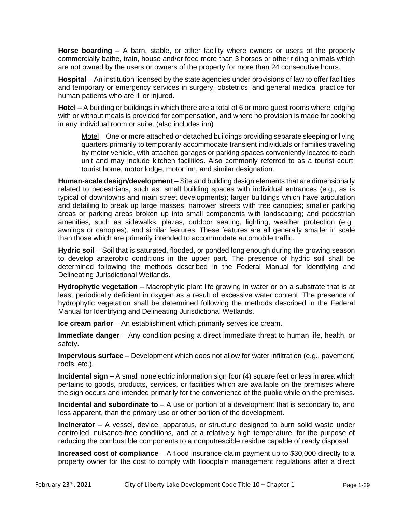Horse boarding – A barn, stable, or other facility where owners or users of the property commercially bathe, train, house and/or feed more than 3 horses or other riding animals which are not owned by the users or owners of the property for more than 24 consecutive hours.

**Hospital** – An institution licensed by the state agencies under provisions of law to offer facilities and temporary or emergency services in surgery, obstetrics, and general medical practice for human patients who are ill or injured.

**Hotel** – A building or buildings in which there are a total of 6 or more guest rooms where lodging with or without meals is provided for compensation, and where no provision is made for cooking in any individual room or suite. (also includes inn)

Motel – One or more attached or detached buildings providing separate sleeping or living quarters primarily to temporarily accommodate transient individuals or families traveling by motor vehicle, with attached garages or parking spaces conveniently located to each unit and may include kitchen facilities. Also commonly referred to as a tourist court, tourist home, motor lodge, motor inn, and similar designation.

**Human-scale design/development** – Site and building design elements that are dimensionally related to pedestrians, such as: small building spaces with individual entrances (e.g., as is typical of downtowns and main street developments); larger buildings which have articulation and detailing to break up large masses; narrower streets with tree canopies; smaller parking areas or parking areas broken up into small components with landscaping; and pedestrian amenities, such as sidewalks, plazas, outdoor seating, lighting, weather protection (e.g., awnings or canopies), and similar features. These features are all generally smaller in scale than those which are primarily intended to accommodate automobile traffic.

**Hydric soil** – Soil that is saturated, flooded, or ponded long enough during the growing season to develop anaerobic conditions in the upper part. The presence of hydric soil shall be determined following the methods described in the Federal Manual for Identifying and Delineating Jurisdictional Wetlands.

**Hydrophytic vegetation** – Macrophytic plant life growing in water or on a substrate that is at least periodically deficient in oxygen as a result of excessive water content. The presence of hydrophytic vegetation shall be determined following the methods described in the Federal Manual for Identifying and Delineating Jurisdictional Wetlands.

**Ice cream parlor** – An establishment which primarily serves ice cream.

**Immediate danger** – Any condition posing a direct immediate threat to human life, health, or safety.

**Impervious surface** – Development which does not allow for water infiltration (e.g., pavement, roofs, etc.).

**Incidental sign** – A small nonelectric information sign four (4) square feet or less in area which pertains to goods, products, services, or facilities which are available on the premises where the sign occurs and intended primarily for the convenience of the public while on the premises.

**Incidental and subordinate to** – A use or portion of a development that is secondary to, and less apparent, than the primary use or other portion of the development.

**Incinerator** – A vessel, device, apparatus, or structure designed to burn solid waste under controlled, nuisance-free conditions, and at a relatively high temperature, for the purpose of reducing the combustible components to a nonputrescible residue capable of ready disposal.

**Increased cost of compliance** – A flood insurance claim payment up to \$30,000 directly to a property owner for the cost to comply with floodplain management regulations after a direct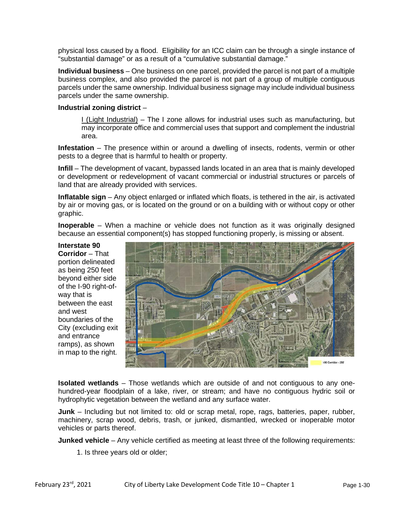physical loss caused by a flood. Eligibility for an ICC claim can be through a single instance of "substantial damage" or as a result of a "cumulative substantial damage."

**Individual business** – One business on one parcel, provided the parcel is not part of a multiple business complex, and also provided the parcel is not part of a group of multiple contiguous parcels under the same ownership. Individual business signage may include individual business parcels under the same ownership.

#### **Industrial zoning district** –

 $I$  (Light Industrial) – The I zone allows for industrial uses such as manufacturing, but may incorporate office and commercial uses that support and complement the industrial area.

**Infestation** – The presence within or around a dwelling of insects, rodents, vermin or other pests to a degree that is harmful to health or property.

**Infill** – The development of vacant, bypassed lands located in an area that is mainly developed or development or redevelopment of vacant commercial or industrial structures or parcels of land that are already provided with services.

**Inflatable sign** – Any object enlarged or inflated which floats, is tethered in the air, is activated by air or moving gas, or is located on the ground or on a building with or without copy or other graphic.

**Inoperable** – When a machine or vehicle does not function as it was originally designed because an essential component(s) has stopped functioning properly, is missing or absent.

## **Interstate 90**

**Corridor** – That portion delineated as being 250 feet beyond either side of the I-90 right-ofway that is between the east and west boundaries of the City (excluding exit and entrance ramps), as shown in map to the right.



**Isolated wetlands** – Those wetlands which are outside of and not contiguous to any onehundred-year floodplain of a lake, river, or stream; and have no contiguous hydric soil or hydrophytic vegetation between the wetland and any surface water.

**Junk** – Including but not limited to: old or scrap metal, rope, rags, batteries, paper, rubber, machinery, scrap wood, debris, trash, or junked, dismantled, wrecked or inoperable motor vehicles or parts thereof.

**Junked vehicle** – Any vehicle certified as meeting at least three of the following requirements:

1. Is three years old or older;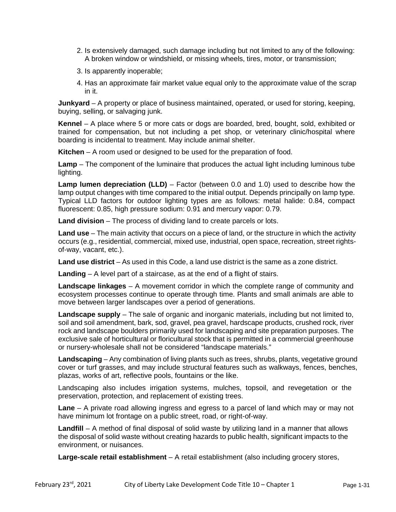- 2. Is extensively damaged, such damage including but not limited to any of the following: A broken window or windshield, or missing wheels, tires, motor, or transmission;
- 3. Is apparently inoperable;
- 4. Has an approximate fair market value equal only to the approximate value of the scrap in it.

**Junkyard** – A property or place of business maintained, operated, or used for storing, keeping, buying, selling, or salvaging junk.

**Kennel** – A place where 5 or more cats or dogs are boarded, bred, bought, sold, exhibited or trained for compensation, but not including a pet shop, or veterinary clinic/hospital where boarding is incidental to treatment. May include animal shelter.

**Kitchen** – A room used or designed to be used for the preparation of food.

**Lamp** – The component of the luminaire that produces the actual light including luminous tube lighting.

**Lamp lumen depreciation (LLD)** – Factor (between 0.0 and 1.0) used to describe how the lamp output changes with time compared to the initial output. Depends principally on lamp type. Typical LLD factors for outdoor lighting types are as follows: metal halide: 0.84, compact fluorescent: 0.85, high pressure sodium: 0.91 and mercury vapor: 0.79.

**Land division** – The process of dividing land to create parcels or lots.

**Land use** – The main activity that occurs on a piece of land, or the structure in which the activity occurs (e.g., residential, commercial, mixed use, industrial, open space, recreation, street rightsof-way, vacant, etc.).

**Land use district** – As used in this Code, a land use district is the same as a zone district.

**Landing** – A level part of a staircase, as at the end of a flight of stairs.

**Landscape linkages** – A movement corridor in which the complete range of community and ecosystem processes continue to operate through time. Plants and small animals are able to move between larger landscapes over a period of generations.

**Landscape supply** – The sale of organic and inorganic materials, including but not limited to, soil and soil amendment, bark, sod, gravel, pea gravel, hardscape products, crushed rock, river rock and landscape boulders primarily used for landscaping and site preparation purposes. The exclusive sale of horticultural or floricultural stock that is permitted in a commercial greenhouse or nursery-wholesale shall not be considered "landscape materials."

**Landscaping** – Any combination of living plants such as trees, shrubs, plants, vegetative ground cover or turf grasses, and may include structural features such as walkways, fences, benches, plazas, works of art, reflective pools, fountains or the like.

Landscaping also includes irrigation systems, mulches, topsoil, and revegetation or the preservation, protection, and replacement of existing trees.

**Lane** – A private road allowing ingress and egress to a parcel of land which may or may not have minimum lot frontage on a public street, road, or right-of-way.

**Landfill** – A method of final disposal of solid waste by utilizing land in a manner that allows the disposal of solid waste without creating hazards to public health, significant impacts to the environment, or nuisances.

**Large-scale retail establishment** – A retail establishment (also including grocery stores,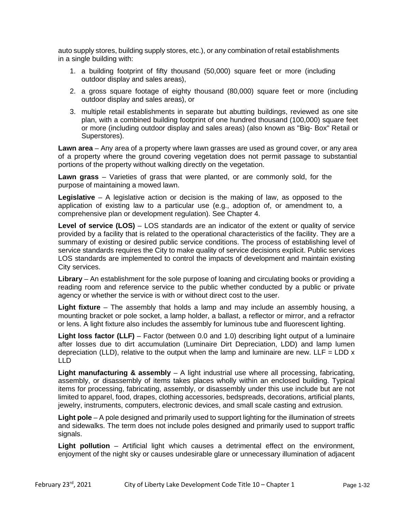auto supply stores, building supply stores, etc.), or any combination of retail establishments in a single building with:

- 1. a building footprint of fifty thousand (50,000) square feet or more (including outdoor display and sales areas),
- 2. a gross square footage of eighty thousand (80,000) square feet or more (including outdoor display and sales areas), or
- 3. multiple retail establishments in separate but abutting buildings, reviewed as one site plan, with a combined building footprint of one hundred thousand (100,000) square feet or more (including outdoor display and sales areas) (also known as "Big- Box" Retail or Superstores).

**Lawn area** – Any area of a property where lawn grasses are used as ground cover, or any area of a property where the ground covering vegetation does not permit passage to substantial portions of the property without walking directly on the vegetation.

**Lawn grass** – Varieties of grass that were planted, or are commonly sold, for the purpose of maintaining a mowed lawn.

**Legislative** – A legislative action or decision is the making of law, as opposed to the application of existing law to a particular use (e.g., adoption of, or amendment to, a comprehensive plan or development regulation). See Chapter 4.

Level of service (LOS) – LOS standards are an indicator of the extent or quality of service provided by a facility that is related to the operational characteristics of the facility. They are a summary of existing or desired public service conditions. The process of establishing level of service standards requires the City to make quality of service decisions explicit. Public services LOS standards are implemented to control the impacts of development and maintain existing City services.

**Library** – An establishment for the sole purpose of loaning and circulating books or providing a reading room and reference service to the public whether conducted by a public or private agency or whether the service is with or without direct cost to the user.

**Light fixture** – The assembly that holds a lamp and may include an assembly housing, a mounting bracket or pole socket, a lamp holder, a ballast, a reflector or mirror, and a refractor or lens. A light fixture also includes the assembly for luminous tube and fluorescent lighting.

**Light loss factor (LLF)** – Factor (between 0.0 and 1.0) describing light output of a luminaire after losses due to dirt accumulation (Luminaire Dirt Depreciation, LDD) and lamp lumen depreciation (LLD), relative to the output when the lamp and luminaire are new. LLF = LDD  $x$ LLD

**Light manufacturing & assembly** – A light industrial use where all processing, fabricating, assembly, or disassembly of items takes places wholly within an enclosed building. Typical items for processing, fabricating, assembly, or disassembly under this use include but are not limited to apparel, food, drapes, clothing accessories, bedspreads, decorations, artificial plants, jewelry, instruments, computers, electronic devices, and small scale casting and extrusion.

**Light pole** – A pole designed and primarily used to support lighting for the illumination of streets and sidewalks. The term does not include poles designed and primarily used to support traffic signals.

**Light pollution** – Artificial light which causes a detrimental effect on the environment, enjoyment of the night sky or causes undesirable glare or unnecessary illumination of adjacent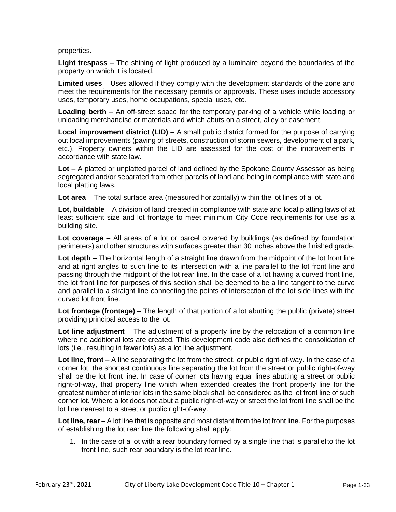properties.

**Light trespass** – The shining of light produced by a luminaire beyond the boundaries of the property on which it is located.

**Limited uses** – Uses allowed if they comply with the development standards of the zone and meet the requirements for the necessary permits or approvals. These uses include accessory uses, temporary uses, home occupations, special uses, etc.

**Loading berth** – An off-street space for the temporary parking of a vehicle while loading or unloading merchandise or materials and which abuts on a street, alley or easement.

**Local improvement district (LID)** – A small public district formed for the purpose of carrying out local improvements (paving of streets, construction of storm sewers, development of a park, etc.). Property owners within the LID are assessed for the cost of the improvements in accordance with state law.

**Lot** – A platted or unplatted parcel of land defined by the Spokane County Assessor as being segregated and/or separated from other parcels of land and being in compliance with state and local platting laws.

**Lot area** – The total surface area (measured horizontally) within the lot lines of a lot.

**Lot, buildable** – A division of land created in compliance with state and local platting laws of at least sufficient size and lot frontage to meet minimum City Code requirements for use as a building site.

**Lot coverage** – All areas of a lot or parcel covered by buildings (as defined by foundation perimeters) and other structures with surfaces greater than 30 inches above the finished grade.

**Lot depth** – The horizontal length of a straight line drawn from the midpoint of the lot front line and at right angles to such line to its intersection with a line parallel to the lot front line and passing through the midpoint of the lot rear line. In the case of a lot having a curved front line, the lot front line for purposes of this section shall be deemed to be a line tangent to the curve and parallel to a straight line connecting the points of intersection of the lot side lines with the curved lot front line.

**Lot frontage (frontage)** – The length of that portion of a lot abutting the public (private) street providing principal access to the lot.

**Lot line adjustment** – The adjustment of a property line by the relocation of a common line where no additional lots are created. This development code also defines the consolidation of lots (i.e., resulting in fewer lots) as a lot line adjustment.

Lot line, front – A line separating the lot from the street, or public right-of-way. In the case of a corner lot, the shortest continuous line separating the lot from the street or public right-of-way shall be the lot front line. In case of corner lots having equal lines abutting a street or public right-of-way, that property line which when extended creates the front property line for the greatest number of interior lots in the same block shall be considered as the lot front line of such corner lot. Where a lot does not abut a public right-of-way or street the lot front line shall be the lot line nearest to a street or public right-of-way.

**Lot line, rear** – A lot line that is opposite and most distant from the lot front line. For the purposes of establishing the lot rear line the following shall apply:

1. In the case of a lot with a rear boundary formed by a single line that is parallel to the lot front line, such rear boundary is the lot rear line.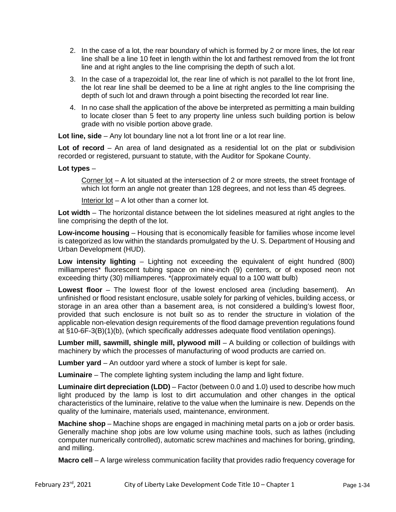- 2. In the case of a lot, the rear boundary of which is formed by 2 or more lines, the lot rear line shall be a line 10 feet in length within the lot and farthest removed from the lot front line and at right angles to the line comprising the depth of such a lot.
- 3. In the case of a trapezoidal lot, the rear line of which is not parallel to the lot front line, the lot rear line shall be deemed to be a line at right angles to the line comprising the depth of such lot and drawn through a point bisecting the recorded lot rear line.
- 4. In no case shall the application of the above be interpreted as permitting a main building to locate closer than 5 feet to any property line unless such building portion is below grade with no visible portion above grade.

**Lot line, side** – Any lot boundary line not a lot front line or a lot rear line.

**Lot of record** – An area of land designated as a residential lot on the plat or subdivision recorded or registered, pursuant to statute, with the Auditor for Spokane County.

#### **Lot types** –

Corner  $\cot$  – A lot situated at the intersection of 2 or more streets, the street frontage of which lot form an angle not greater than 128 degrees, and not less than 45 degrees.

Interior lot – A lot other than a corner lot.

**Lot width** – The horizontal distance between the lot sidelines measured at right angles to the line comprising the depth of the lot.

**Low-income housing** – Housing that is economically feasible for families whose income level is categorized as low within the standards promulgated by the U. S. Department of Housing and Urban Development (HUD).

**Low intensity lighting** – Lighting not exceeding the equivalent of eight hundred (800) milliamperes\* fluorescent tubing space on nine-inch (9) centers, or of exposed neon not exceeding thirty (30) milliamperes. \*(approximately equal to a 100 watt bulb)

**Lowest floor** – The lowest floor of the lowest enclosed area (including basement). An unfinished or flood resistant enclosure, usable solely for parking of vehicles, building access, or storage in an area other than a basement area, is not considered a building's lowest floor, provided that such enclosure is not built so as to render the structure in violation of the applicable non-elevation design requirements of the flood damage prevention regulations found at §10-6F-3(B)(1)(b), (which specifically addresses adequate flood ventilation openings).

**Lumber mill, sawmill, shingle mill, plywood mill** – A building or collection of buildings with machinery by which the processes of manufacturing of wood products are carried on.

**Lumber yard** – An outdoor yard where a stock of lumber is kept for sale.

**Luminaire** – The complete lighting system including the lamp and light fixture.

**Luminaire dirt depreciation (LDD)** – Factor (between 0.0 and 1.0) used to describe how much light produced by the lamp is lost to dirt accumulation and other changes in the optical characteristics of the luminaire, relative to the value when the luminaire is new. Depends on the quality of the luminaire, materials used, maintenance, environment.

**Machine shop** – Machine shops are engaged in machining metal parts on a job or order basis. Generally machine shop jobs are low volume using machine tools, such as lathes (including computer numerically controlled), automatic screw machines and machines for boring, grinding, and milling.

**Macro cell** – A large wireless communication facility that provides radio frequency coverage for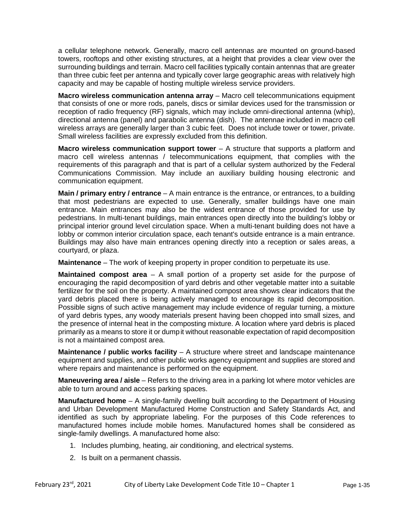a cellular telephone network. Generally, macro cell antennas are mounted on ground-based towers, rooftops and other existing structures, at a height that provides a clear view over the surrounding buildings and terrain. Macro cell facilities typically contain antennas that are greater than three cubic feet per antenna and typically cover large geographic areas with relatively high capacity and may be capable of hosting multiple wireless service providers.

**Macro wireless communication antenna array** - Macro cell telecommunications equipment that consists of one or more rods, panels, discs or similar devices used for the transmission or reception of radio frequency (RF) signals, which may include omni-directional antenna (whip), directional antenna (panel) and parabolic antenna (dish). The antennae included in macro cell wireless arrays are generally larger than 3 cubic feet. Does not include tower or tower, private. Small wireless facilities are expressly excluded from this definition.

**Macro wireless communication support tower** – A structure that supports a platform and macro cell wireless antennas / telecommunications equipment, that complies with the requirements of this paragraph and that is part of a cellular system authorized by the Federal Communications Commission. May include an auxiliary building housing electronic and communication equipment.

**Main / primary entry / entrance** – A main entrance is the entrance, or entrances, to a building that most pedestrians are expected to use. Generally, smaller buildings have one main entrance. Main entrances may also be the widest entrance of those provided for use by pedestrians. In multi-tenant buildings, main entrances open directly into the building's lobby or principal interior ground level circulation space. When a multi-tenant building does not have a lobby or common interior circulation space, each tenant's outside entrance is a main entrance. Buildings may also have main entrances opening directly into a reception or sales areas, a courtyard, or plaza.

**Maintenance** – The work of keeping property in proper condition to perpetuate its use.

**Maintained compost area** – A small portion of a property set aside for the purpose of encouraging the rapid decomposition of yard debris and other vegetable matter into a suitable fertilizer for the soil on the property. A maintained compost area shows clear indicators that the yard debris placed there is being actively managed to encourage its rapid decomposition. Possible signs of such active management may include evidence of regular turning, a mixture of yard debris types, any woody materials present having been chopped into small sizes, and the presence of internal heat in the composting mixture. A location where yard debris is placed primarily as a means to store it or dumpit without reasonable expectation of rapid decomposition is not a maintained compost area.

**Maintenance / public works facility** – A structure where street and landscape maintenance equipment and supplies, and other public works agency equipment and supplies are stored and where repairs and maintenance is performed on the equipment.

**Maneuvering area / aisle** – Refers to the driving area in a parking lot where motor vehicles are able to turn around and access parking spaces.

**Manufactured home** – A single-family dwelling built according to the Department of Housing and Urban Development Manufactured Home Construction and Safety Standards Act, and identified as such by appropriate labeling. For the purposes of this Code references to manufactured homes include mobile homes. Manufactured homes shall be considered as single-family dwellings. A manufactured home also:

- 1. Includes plumbing, heating, air conditioning, and electrical systems.
- 2. Is built on a permanent chassis.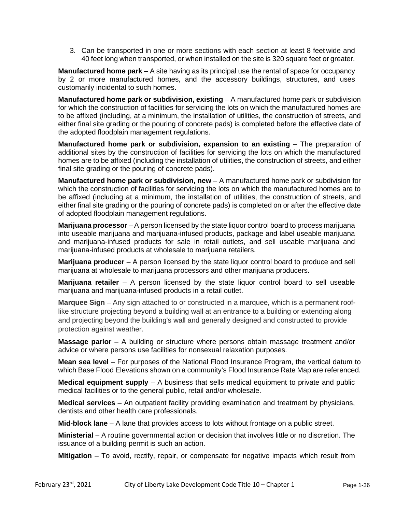3. Can be transported in one or more sections with each section at least 8 feet wide and 40 feet long when transported, or when installed on the site is 320 square feet or greater.

**Manufactured home park** – A site having as its principal use the rental of space for occupancy by 2 or more manufactured homes, and the accessory buildings, structures, and uses customarily incidental to such homes.

**Manufactured home park or subdivision, existing** - A manufactured home park or subdivision for which the construction of facilities for servicing the lots on which the manufactured homes are to be affixed (including, at a minimum, the installation of utilities, the construction of streets, and either final site grading or the pouring of concrete pads) is completed before the effective date of the adopted floodplain management regulations.

**Manufactured home park or subdivision, expansion to an existing – The preparation of** additional sites by the construction of facilities for servicing the lots on which the manufactured homes are to be affixed (including the installation of utilities, the construction of streets, and either final site grading or the pouring of concrete pads).

**Manufactured home park or subdivision, new** – A manufactured home park or subdivision for which the construction of facilities for servicing the lots on which the manufactured homes are to be affixed (including at a minimum, the installation of utilities, the construction of streets, and either final site grading or the pouring of concrete pads) is completed on or after the effective date of adopted floodplain management regulations.

**Marijuana processor** – A person licensed by the state liquor control board to process marijuana into useable marijuana and marijuana-infused products, package and label useable marijuana and marijuana-infused products for sale in retail outlets, and sell useable marijuana and marijuana-infused products at wholesale to marijuana retailers.

**Marijuana producer** – A person licensed by the state liquor control board to produce and sell marijuana at wholesale to marijuana processors and other marijuana producers.

**Marijuana retailer** – A person licensed by the state liquor control board to sell useable marijuana and marijuana-infused products in a retail outlet.

**Marquee Sign** – Any sign attached to or constructed in a marquee, which is a permanent rooflike structure projecting beyond a building wall at an entrance to a building or extending along and projecting beyond the building's wall and generally designed and constructed to provide protection against weather.

**Massage parlor** – A building or structure where persons obtain massage treatment and/or advice or where persons use facilities for nonsexual relaxation purposes.

**Mean sea level** – For purposes of the National Flood Insurance Program, the vertical datum to which Base Flood Elevations shown on a community's Flood Insurance Rate Map are referenced.

**Medical equipment supply** – A business that sells medical equipment to private and public medical facilities or to the general public, retail and/or wholesale.

**Medical services** – An outpatient facility providing examination and treatment by physicians, dentists and other health care professionals.

**Mid-block lane** – A lane that provides access to lots without frontage on a public street.

**Ministerial** – A routine governmental action or decision that involves little or no discretion. The issuance of a building permit is such an action.

**Mitigation** – To avoid, rectify, repair, or compensate for negative impacts which result from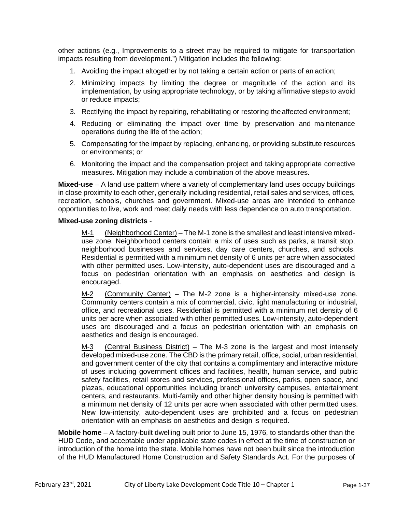other actions (e.g., Improvements to a street may be required to mitigate for transportation impacts resulting from development.") Mitigation includes the following:

- 1. Avoiding the impact altogether by not taking a certain action or parts of an action;
- 2. Minimizing impacts by limiting the degree or magnitude of the action and its implementation, by using appropriate technology, or by taking affirmative steps to avoid or reduce impacts;
- 3. Rectifying the impact by repairing, rehabilitating or restoring theaffected environment;
- 4. Reducing or eliminating the impact over time by preservation and maintenance operations during the life of the action;
- 5. Compensating for the impact by replacing, enhancing, or providing substitute resources or environments; or
- 6. Monitoring the impact and the compensation project and taking appropriate corrective measures. Mitigation may include a combination of the above measures.

**Mixed-use** – A land use pattern where a variety of complementary land uses occupy buildings in close proximity to each other, generally including residential, retail sales and services, offices, recreation, schools, churches and government. Mixed-use areas are intended to enhance opportunities to live, work and meet daily needs with less dependence on auto transportation.

#### **Mixed-use zoning districts** -

M-1 (Neighborhood Center) – The M-1 zone is the smallest and least intensive mixeduse zone. Neighborhood centers contain a mix of uses such as parks, a transit stop, neighborhood businesses and services, day care centers, churches, and schools. Residential is permitted with a minimum net density of 6 units per acre when associated with other permitted uses. Low-intensity, auto-dependent uses are discouraged and a focus on pedestrian orientation with an emphasis on aesthetics and design is encouraged.

M-2 (Community Center) – The M-2 zone is a higher-intensity mixed-use zone. Community centers contain a mix of commercial, civic, light manufacturing or industrial, office, and recreational uses. Residential is permitted with a minimum net density of 6 units per acre when associated with other permitted uses. Low-intensity, auto-dependent uses are discouraged and a focus on pedestrian orientation with an emphasis on aesthetics and design is encouraged.

M-3 (Central Business District) – The M-3 zone is the largest and most intensely developed mixed-use zone. The CBD is the primary retail, office, social, urban residential, and government center of the city that contains a complimentary and interactive mixture of uses including government offices and facilities, health, human service, and public safety facilities, retail stores and services, professional offices, parks, open space, and plazas, educational opportunities including branch university campuses, entertainment centers, and restaurants. Multi-family and other higher density housing is permitted with a minimum net density of 12 units per acre when associated with other permitted uses. New low-intensity, auto-dependent uses are prohibited and a focus on pedestrian orientation with an emphasis on aesthetics and design is required.

**Mobile home** – A factory-built dwelling built prior to June 15, 1976, to standards other than the HUD Code, and acceptable under applicable state codes in effect at the time of construction or introduction of the home into the state. Mobile homes have not been built since the introduction of the HUD Manufactured Home Construction and Safety Standards Act. For the purposes of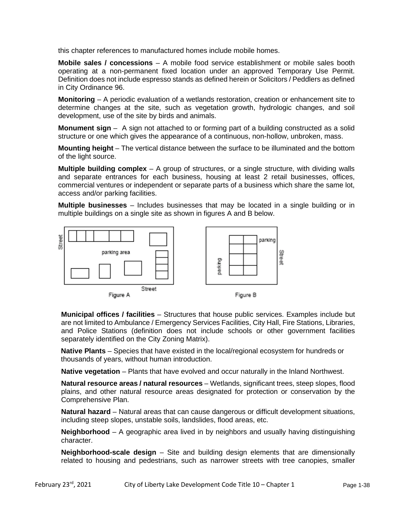this chapter references to manufactured homes include mobile homes.

**Mobile sales / concessions** – A mobile food service establishment or mobile sales booth operating at a non-permanent fixed location under an approved Temporary Use Permit. Definition does not include espresso stands as defined herein or Solicitors / Peddlers as defined in City Ordinance 96.

**Monitoring** – A periodic evaluation of a wetlands restoration, creation or enhancement site to determine changes at the site, such as vegetation growth, hydrologic changes, and soil development, use of the site by birds and animals.

**Monument sign** – A sign not attached to or forming part of a building constructed as a solid structure or one which gives the appearance of a continuous, non-hollow, unbroken, mass.

**Mounting height** – The vertical distance between the surface to be illuminated and the bottom of the light source.

**Multiple building complex** – A group of structures, or a single structure, with dividing walls and separate entrances for each business, housing at least 2 retail businesses, offices, commercial ventures or independent or separate parts of a business which share the same lot, access and/or parking facilities.

**Multiple businesses** – Includes businesses that may be located in a single building or in multiple buildings on a single site as shown in figures A and B below.



**Municipal offices / facilities** – Structures that house public services. Examples include but are not limited to Ambulance / Emergency Services Facilities, City Hall, Fire Stations, Libraries, and Police Stations (definition does not include schools or other government facilities separately identified on the City Zoning Matrix).

**Native Plants** – Species that have existed in the local/regional ecosystem for hundreds or thousands of years, without human introduction.

**Native vegetation** – Plants that have evolved and occur naturally in the Inland Northwest.

**Natural resource areas / natural resources** – Wetlands, significant trees, steep slopes, flood plains, and other natural resource areas designated for protection or conservation by the Comprehensive Plan.

**Natural hazard** – Natural areas that can cause dangerous or difficult development situations, including steep slopes, unstable soils, landslides, flood areas, etc.

**Neighborhood** – A geographic area lived in by neighbors and usually having distinguishing character.

**Neighborhood-scale design** – Site and building design elements that are dimensionally related to housing and pedestrians, such as narrower streets with tree canopies, smaller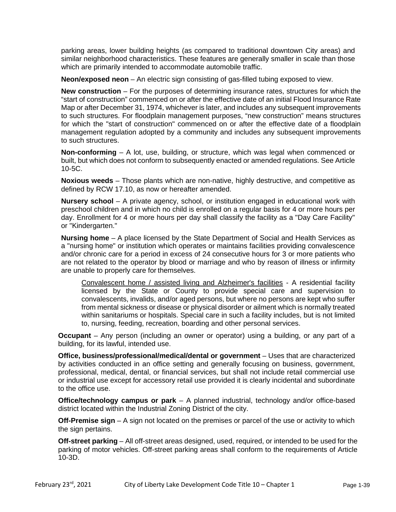parking areas, lower building heights (as compared to traditional downtown City areas) and similar neighborhood characteristics. These features are generally smaller in scale than those which are primarily intended to accommodate automobile traffic.

**Neon/exposed neon** – An electric sign consisting of gas-filled tubing exposed to view.

**New construction** – For the purposes of determining insurance rates, structures for which the "start of construction" commenced on or after the effective date of an initial Flood Insurance Rate Map or after December 31, 1974, whichever is later, and includes any subsequent improvements to such structures. For floodplain management purposes, "new construction" means structures for which the "start of construction" commenced on or after the effective date of a floodplain management regulation adopted by a community and includes any subsequent improvements to such structures.

**Non-conforming** – A lot, use, building, or structure, which was legal when commenced or built, but which does not conform to subsequently enacted or amended regulations. See Article 10-5C.

**Noxious weeds** – Those plants which are non-native, highly destructive, and competitive as defined by RCW 17.10, as now or hereafter amended.

**Nursery school** – A private agency, school, or institution engaged in educational work with preschool children and in which no child is enrolled on a regular basis for 4 or more hours per day. Enrollment for 4 or more hours per day shall classify the facility as a "Day Care Facility" or "Kindergarten."

**Nursing home** – A place licensed by the State Department of Social and Health Services as a "nursing home" or institution which operates or maintains facilities providing convalescence and/or chronic care for a period in excess of 24 consecutive hours for 3 or more patients who are not related to the operator by blood or marriage and who by reason of illness or infirmity are unable to properly care for themselves.

Convalescent home / assisted living and Alzheimer's facilities - A residential facility licensed by the State or County to provide special care and supervision to convalescents, invalids, and/or aged persons, but where no persons are kept who suffer from mental sickness or disease or physical disorder or ailment which is normally treated within sanitariums or hospitals. Special care in such a facility includes, but is not limited to, nursing, feeding, recreation, boarding and other personal services.

**Occupant** – Any person (including an owner or operator) using a building, or any part of a building, for its lawful, intended use.

**Office, business/professional/medical/dental or government** – Uses that are characterized by activities conducted in an office setting and generally focusing on business, government, professional, medical, dental, or financial services, but shall not include retail commercial use or industrial use except for accessory retail use provided it is clearly incidental and subordinate to the office use.

**Office/technology campus or park** – A planned industrial, technology and/or office-based district located within the Industrial Zoning District of the city.

**Off-Premise sign** – A sign not located on the premises or parcel of the use or activity to which the sign pertains.

**Off-street parking** – All off-street areas designed, used, required, or intended to be used for the parking of motor vehicles. Off-street parking areas shall conform to the requirements of Article 10-3D.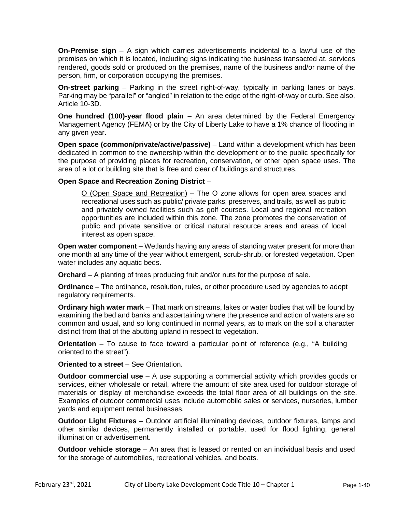**On-Premise sign** – A sign which carries advertisements incidental to a lawful use of the premises on which it is located, including signs indicating the business transacted at, services rendered, goods sold or produced on the premises, name of the business and/or name of the person, firm, or corporation occupying the premises.

**On-street parking** – Parking in the street right-of-way, typically in parking lanes or bays. Parking may be "parallel" or "angled" in relation to the edge of the right-of-way or curb. See also, Article 10-3D.

**One hundred (100)-year flood plain** – An area determined by the Federal Emergency Management Agency (FEMA) or by the City of Liberty Lake to have a 1% chance of flooding in any given year.

**Open space (common/private/active/passive)** – Land within a development which has been dedicated in common to the ownership within the development or to the public specifically for the purpose of providing places for recreation, conservation, or other open space uses. The area of a lot or building site that is free and clear of buildings and structures.

#### **Open Space and Recreation Zoning District** –

O (Open Space and Recreation) – The O zone allows for open area spaces and recreational uses such as public/ private parks, preserves, and trails, as well as public and privately owned facilities such as golf courses. Local and regional recreation opportunities are included within this zone. The zone promotes the conservation of public and private sensitive or critical natural resource areas and areas of local interest as open space.

**Open water component** – Wetlands having any areas of standing water present for more than one month at any time of the year without emergent, scrub-shrub, or forested vegetation. Open water includes any aquatic beds.

**Orchard** – A planting of trees producing fruit and/or nuts for the purpose of sale.

**Ordinance** – The ordinance, resolution, rules, or other procedure used by agencies to adopt regulatory requirements.

**Ordinary high water mark** – That mark on streams, lakes or water bodies that will be found by examining the bed and banks and ascertaining where the presence and action of waters are so common and usual, and so long continued in normal years, as to mark on the soil a character distinct from that of the abutting upland in respect to vegetation.

**Orientation** – To cause to face toward a particular point of reference (e.g., "A building oriented to the street").

**Oriented to a street** – See Orientation.

**Outdoor commercial use** – A use supporting a commercial activity which provides goods or services, either wholesale or retail, where the amount of site area used for outdoor storage of materials or display of merchandise exceeds the total floor area of all buildings on the site. Examples of outdoor commercial uses include automobile sales or services, nurseries, lumber yards and equipment rental businesses.

**Outdoor Light Fixtures** – Outdoor artificial illuminating devices, outdoor fixtures, lamps and other similar devices, permanently installed or portable, used for flood lighting, general illumination or advertisement.

**Outdoor vehicle storage** – An area that is leased or rented on an individual basis and used for the storage of automobiles, recreational vehicles, and boats.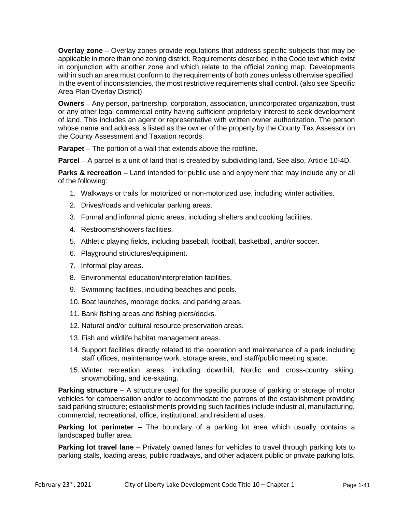**Overlay zone** – Overlay zones provide regulations that address specific subjects that may be applicable in more than one zoning district. Requirements described in the Code text which exist in conjunction with another zone and which relate to the official zoning map. Developments within such an area must conform to the requirements of both zones unless otherwise specified. In the event of inconsistencies, the most restrictive requirements shall control. (also see Specific Area Plan Overlay District)

**Owners** – Any person, partnership, corporation, association, unincorporated organization, trust or any other legal commercial entity having sufficient proprietary interest to seek development of land. This includes an agent or representative with written owner authorization. The person whose name and address is listed as the owner of the property by the County Tax Assessor on the County Assessment and Taxation records.

**Parapet** – The portion of a wall that extends above the roofline.

**Parcel** – A parcel is a unit of land that is created by subdividing land. See also, Article 10-4D.

**Parks & recreation** – Land intended for public use and enjoyment that may include any or all of the following:

- 1. Walkways or trails for motorized or non-motorized use, including winter activities.
- 2. Drives/roads and vehicular parking areas.
- 3. Formal and informal picnic areas, including shelters and cooking facilities.
- 4. Restrooms/showers facilities.
- 5. Athletic playing fields, including baseball, football, basketball, and/or soccer.
- 6. Playground structures/equipment.
- 7. Informal play areas.
- 8. Environmental education/interpretation facilities.
- 9. Swimming facilities, including beaches and pools.
- 10. Boat launches, moorage docks, and parking areas.
- 11. Bank fishing areas and fishing piers/docks.
- 12. Natural and/or cultural resource preservation areas.
- 13. Fish and wildlife habitat management areas.
- 14. Support facilities directly related to the operation and maintenance of a park including staff offices, maintenance work, storage areas, and staff/public meeting space.
- 15. Winter recreation areas, including downhill, Nordic and cross-country skiing, snowmobiling, and ice-skating.

**Parking structure** – A structure used for the specific purpose of parking or storage of motor vehicles for compensation and/or to accommodate the patrons of the establishment providing said parking structure; establishments providing such facilities include industrial, manufacturing, commercial, recreational, office, institutional, and residential uses.

**Parking lot perimeter** – The boundary of a parking lot area which usually contains a landscaped buffer area.

**Parking lot travel lane** – Privately owned lanes for vehicles to travel through parking lots to parking stalls, loading areas, public roadways, and other adjacent public or private parking lots.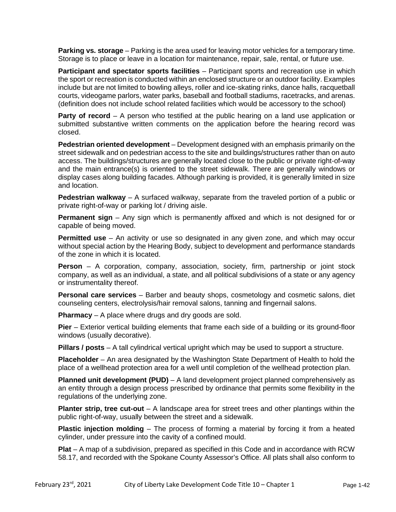**Parking vs. storage** – Parking is the area used for leaving motor vehicles for a temporary time. Storage is to place or leave in a location for maintenance, repair, sale, rental, or future use.

**Participant and spectator sports facilities** – Participant sports and recreation use in which the sport or recreation is conducted within an enclosed structure or an outdoor facility. Examples include but are not limited to bowling alleys, roller and ice-skating rinks, dance halls, racquetball courts, videogame parlors, water parks, baseball and football stadiums, racetracks, and arenas. (definition does not include school related facilities which would be accessory to the school)

**Party of record** – A person who testified at the public hearing on a land use application or submitted substantive written comments on the application before the hearing record was closed.

**Pedestrian oriented development** – Development designed with an emphasis primarily on the street sidewalk and on pedestrian access to the site and buildings/structures rather than on auto access. The buildings/structures are generally located close to the public or private right-of-way and the main entrance(s) is oriented to the street sidewalk. There are generally windows or display cases along building facades. Although parking is provided, it is generally limited in size and location.

**Pedestrian walkway** – A surfaced walkway, separate from the traveled portion of a public or private right-of-way or parking lot / driving aisle.

**Permanent sign** – Any sign which is permanently affixed and which is not designed for or capable of being moved.

**Permitted use** – An activity or use so designated in any given zone, and which may occur without special action by the Hearing Body, subject to development and performance standards of the zone in which it is located.

**Person** – A corporation, company, association, society, firm, partnership or joint stock company, as well as an individual, a state, and all political subdivisions of a state or any agency or instrumentality thereof.

**Personal care services** – Barber and beauty shops, cosmetology and cosmetic salons, diet counseling centers, electrolysis/hair removal salons, tanning and fingernail salons.

**Pharmacy** – A place where drugs and dry goods are sold.

**Pier** – Exterior vertical building elements that frame each side of a building or its ground-floor windows (usually decorative).

**Pillars / posts** – A tall cylindrical vertical upright which may be used to support a structure.

**Placeholder** – An area designated by the Washington State Department of Health to hold the place of a wellhead protection area for a well until completion of the wellhead protection plan.

**Planned unit development (PUD)** – A land development project planned comprehensively as an entity through a design process prescribed by ordinance that permits some flexibility in the regulations of the underlying zone.

**Planter strip, tree cut-out** – A landscape area for street trees and other plantings within the public right-of-way, usually between the street and a sidewalk.

**Plastic injection molding** – The process of forming a material by forcing it from a heated cylinder, under pressure into the cavity of a confined mould.

**Plat** – A map of a subdivision, prepared as specified in this Code and in accordance with RCW 58.17, and recorded with the Spokane County Assessor's Office. All plats shall also conform to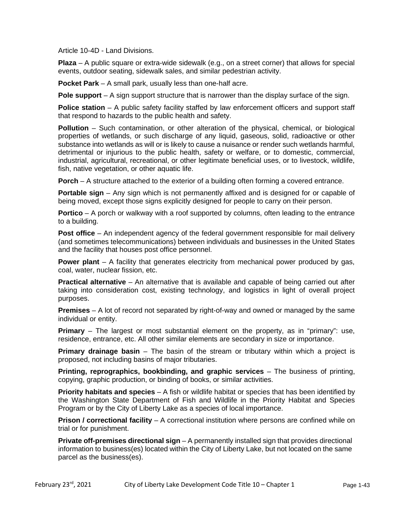Article 10-4D - Land Divisions.

**Plaza** – A public square or extra-wide sidewalk (e.g., on a street corner) that allows for special events, outdoor seating, sidewalk sales, and similar pedestrian activity.

**Pocket Park** – A small park, usually less than one-half acre.

**Pole support** – A sign support structure that is narrower than the display surface of the sign.

**Police station** – A public safety facility staffed by law enforcement officers and support staff that respond to hazards to the public health and safety.

**Pollution** – Such contamination, or other alteration of the physical, chemical, or biological properties of wetlands, or such discharge of any liquid, gaseous, solid, radioactive or other substance into wetlands as will or is likely to cause a nuisance or render such wetlands harmful, detrimental or injurious to the public health, safety or welfare, or to domestic, commercial, industrial, agricultural, recreational, or other legitimate beneficial uses, or to livestock, wildlife, fish, native vegetation, or other aquatic life.

**Porch** – A structure attached to the exterior of a building often forming a covered entrance.

**Portable sign** – Any sign which is not permanently affixed and is designed for or capable of being moved, except those signs explicitly designed for people to carry on their person.

**Portico** – A porch or walkway with a roof supported by columns, often leading to the entrance to a building.

**Post office** – An independent agency of the federal government responsible for mail delivery (and sometimes telecommunications) between individuals and businesses in the United States and the facility that houses post office personnel.

**Power plant** – A facility that generates electricity from mechanical power produced by gas, coal, water, nuclear fission, etc.

**Practical alternative** – An alternative that is available and capable of being carried out after taking into consideration cost, existing technology, and logistics in light of overall project purposes.

**Premises** *–* A lot of record not separated by right-of-way and owned or managed by the same individual or entity.

**Primary** – The largest or most substantial element on the property, as in "primary": use, residence, entrance, etc. All other similar elements are secondary in size or importance.

**Primary drainage basin** – The basin of the stream or tributary within which a project is proposed, not including basins of major tributaries.

**Printing, reprographics, bookbinding, and graphic services** – The business of printing, copying, graphic production, or binding of books, or similar activities.

**Priority habitats and species** – A fish or wildlife habitat or species that has been identified by the Washington State Department of Fish and Wildlife in the Priority Habitat and Species Program or by the City of Liberty Lake as a species of local importance.

**Prison / correctional facility** – A correctional institution where persons are confined while on trial or for punishment.

**Private off-premises directional sign** – A permanently installed sign that provides directional information to business(es) located within the City of Liberty Lake, but not located on the same parcel as the business(es).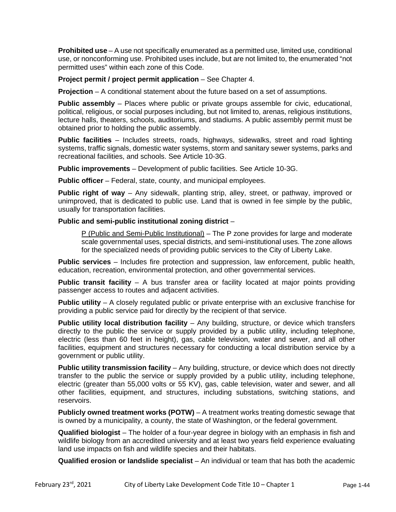**Prohibited use** – A use not specifically enumerated as a permitted use, limited use, conditional use, or nonconforming use. Prohibited uses include, but are not limited to, the enumerated "not permitted uses" within each zone of this Code.

**Project permit / project permit application – See Chapter 4.** 

**Projection** – A conditional statement about the future based on a set of assumptions.

**Public assembly** – Places where public or private groups assemble for civic, educational, political, religious, or social purposes including, but not limited to, arenas, religious institutions, lecture halls, theaters, schools, auditoriums, and stadiums. A public assembly permit must be obtained prior to holding the public assembly.

**Public facilities** – Includes streets, roads, highways, sidewalks, street and road lighting systems, traffic signals, domestic water systems, storm and sanitary sewer systems, parks and recreational facilities, and schools. See Article 10-3G.

**Public improvements** – Development of public facilities. See Article 10-3G.

**Public officer** – Federal, state, county, and municipal employees.

**Public right of way** – Any sidewalk, planting strip, alley, street, or pathway, improved or unimproved, that is dedicated to public use. Land that is owned in fee simple by the public, usually for transportation facilities.

#### **Public and semi-public institutional zoning district** –

P (Public and Semi-Public Institutional) – The P zone provides for large and moderate scale governmental uses, special districts, and semi-institutional uses. The zone allows for the specialized needs of providing public services to the City of Liberty Lake.

**Public services** – Includes fire protection and suppression, law enforcement, public health, education, recreation, environmental protection, and other governmental services.

**Public transit facility** – A bus transfer area or facility located at major points providing passenger access to routes and adjacent activities.

**Public utility** – A closely regulated public or private enterprise with an exclusive franchise for providing a public service paid for directly by the recipient of that service.

**Public utility local distribution facility** – Any building, structure, or device which transfers directly to the public the service or supply provided by a public utility, including telephone, electric (less than 60 feet in height), gas, cable television, water and sewer, and all other facilities, equipment and structures necessary for conducting a local distribution service by a government or public utility.

**Public utility transmission facility** – Any building, structure, or device which does not directly transfer to the public the service or supply provided by a public utility, including telephone, electric (greater than 55,000 volts or 55 KV), gas, cable television, water and sewer, and all other facilities, equipment, and structures, including substations, switching stations, and reservoirs.

**Publicly owned treatment works (POTW)** - A treatment works treating domestic sewage that is owned by a municipality, a county, the state of Washington, or the federal government.

**Qualified biologist** – The holder of a four-year degree in biology with an emphasis in fish and wildlife biology from an accredited university and at least two years field experience evaluating land use impacts on fish and wildlife species and their habitats.

**Qualified erosion or landslide specialist** – An individual or team that has both the academic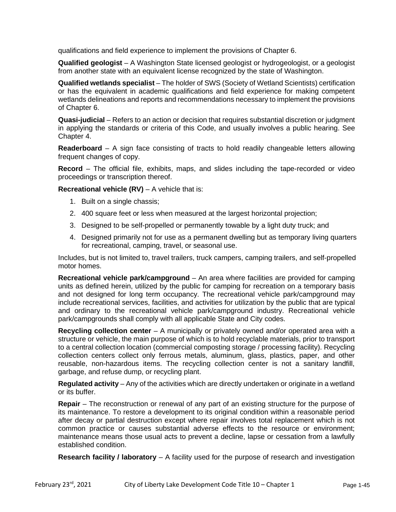qualifications and field experience to implement the provisions of Chapter 6.

**Qualified geologist** – A Washington State licensed geologist or hydrogeologist, or a geologist from another state with an equivalent license recognized by the state of Washington.

**Qualified wetlands specialist** – The holder of SWS (Society of Wetland Scientists) certification or has the equivalent in academic qualifications and field experience for making competent wetlands delineations and reports and recommendations necessary to implement the provisions of Chapter 6.

**Quasi-judicial** – Refers to an action or decision that requires substantial discretion or judgment in applying the standards or criteria of this Code, and usually involves a public hearing. See Chapter 4.

**Readerboard** – A sign face consisting of tracts to hold readily changeable letters allowing frequent changes of copy.

**Record** – The official file, exhibits, maps, and slides including the tape-recorded or video proceedings or transcription thereof.

**Recreational vehicle (RV)** – A vehicle that is:

- 1. Built on a single chassis;
- 2. 400 square feet or less when measured at the largest horizontal projection;
- 3. Designed to be self-propelled or permanently towable by a light duty truck; and
- 4. Designed primarily not for use as a permanent dwelling but as temporary living quarters for recreational, camping, travel, or seasonal use.

Includes, but is not limited to, travel trailers, truck campers, camping trailers, and self-propelled motor homes.

**Recreational vehicle park/campground** – An area where facilities are provided for camping units as defined herein, utilized by the public for camping for recreation on a temporary basis and not designed for long term occupancy. The recreational vehicle park/campground may include recreational services, facilities, and activities for utilization by the public that are typical and ordinary to the recreational vehicle park/campground industry. Recreational vehicle park/campgrounds shall comply with all applicable State and City codes.

**Recycling collection center** – A municipally or privately owned and/or operated area with a structure or vehicle, the main purpose of which is to hold recyclable materials, prior to transport to a central collection location (commercial composting storage / processing facility). Recycling collection centers collect only ferrous metals, aluminum, glass, plastics, paper, and other reusable, non-hazardous items. The recycling collection center is not a sanitary landfill, garbage, and refuse dump, or recycling plant.

**Regulated activity** – Any of the activities which are directly undertaken or originate in a wetland or its buffer.

**Repair** – The reconstruction or renewal of any part of an existing structure for the purpose of its maintenance. To restore a development to its original condition within a reasonable period after decay or partial destruction except where repair involves total replacement which is not common practice or causes substantial adverse effects to the resource or environment; maintenance means those usual acts to prevent a decline, lapse or cessation from a lawfully established condition.

**Research facility / laboratory** – A facility used for the purpose of research and investigation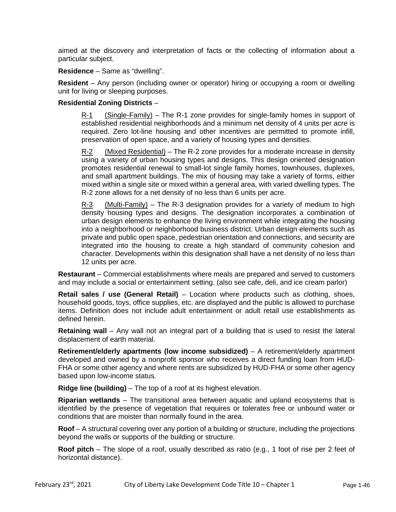aimed at the discovery and interpretation of facts or the collecting of information about a particular subject.

**Residence** – Same as "dwelling".

**Resident** – Any person (including owner or operator) hiring or occupying a room or dwelling unit for living or sleeping purposes.

#### **Residential Zoning Districts** –

R-1 (Single-Family) – The R-1 zone provides for single-family homes in support of established residential neighborhoods and a minimum net density of 4 units per acre is required. Zero lot-line housing and other incentives are permitted to promote infill, preservation of open space, and a variety of housing types and densities.

R-2 (Mixed Residential) – The R-2 zone provides for a moderate increase in density using a variety of urban housing types and designs. This design oriented designation promotes residential renewal to small-lot single family homes, townhouses, duplexes, and small apartment buildings. The mix of housing may take a variety of forms, either mixed within a single site or mixed within a general area, with varied dwelling types. The R-2 zone allows for a net density of no less than 6 units per acre.

 $R-3$  (Multi-Family) – The R-3 designation provides for a variety of medium to high density housing types and designs. The designation incorporates a combination of urban design elements to enhance the living environment while integrating the housing into a neighborhood or neighborhood business district. Urban design elements such as private and public open space, pedestrian orientation and connections, and security are integrated into the housing to create a high standard of community cohesion and character. Developments within this designation shall have a net density of no less than 12 units per acre.

**Restaurant** – Commercial establishments where meals are prepared and served to customers and may include a social or entertainment setting. (also see cafe, deli, and ice cream parlor)

**Retail sales / use (General Retail)** – Location where products such as clothing, shoes, household goods, toys, office supplies, etc. are displayed and the public is allowed to purchase items. Definition does not include adult entertainment or adult retail use establishments as defined herein.

**Retaining wall** – Any wall not an integral part of a building that is used to resist the lateral displacement of earth material.

**Retirement/elderly apartments (low income subsidized)** – A retirement/elderly apartment developed and owned by a nonprofit sponsor who receives a direct funding loan from HUD-FHA or some other agency and where rents are subsidized by HUD-FHA or some other agency based upon low-income status.

**Ridge line (building)** – The top of a roof at its highest elevation.

**Riparian wetlands** – The transitional area between aquatic and upland ecosystems that is identified by the presence of vegetation that requires or tolerates free or unbound water or conditions that are moister than normally found in the area.

**Roof** – A structural covering over any portion of a building or structure, including the projections beyond the walls or supports of the building or structure.

**Roof pitch** – The slope of a roof, usually described as ratio (e.g., 1 foot of rise per 2 feet of horizontal distance).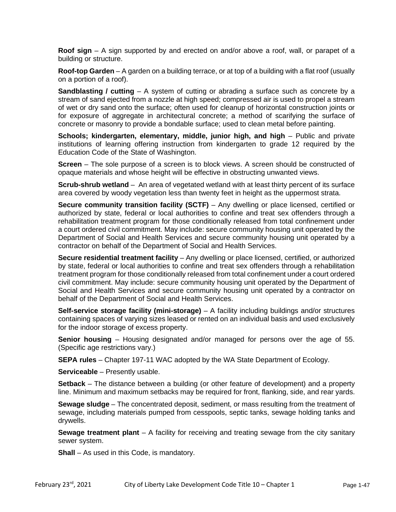**Roof sign** – A sign supported by and erected on and/or above a roof, wall, or parapet of a building or structure.

**Roof-top Garden** – A garden on a building terrace, or at top of a building with a flat roof (usually on a portion of a roof).

**Sandblasting / cutting** – A system of cutting or abrading a surface such as concrete by a stream of sand ejected from a nozzle at high speed; compressed air is used to propel a stream of wet or dry sand onto the surface; often used for cleanup of horizontal construction joints or for exposure of aggregate in architectural concrete; a method of scarifying the surface of concrete or masonry to provide a bondable surface; used to clean metal before painting.

**Schools; kindergarten, elementary, middle, junior high, and high** – Public and private institutions of learning offering instruction from kindergarten to grade 12 required by the Education Code of the State of Washington.

**Screen** – The sole purpose of a screen is to block views. A screen should be constructed of opaque materials and whose height will be effective in obstructing unwanted views.

**Scrub-shrub wetland** – An area of vegetated wetland with at least thirty percent of its surface area covered by woody vegetation less than twenty feet in height as the uppermost strata.

**Secure community transition facility (SCTF)** – Any dwelling or place licensed, certified or authorized by state, federal or local authorities to confine and treat sex offenders through a rehabilitation treatment program for those conditionally released from total confinement under a court ordered civil commitment. May include: secure community housing unit operated by the Department of Social and Health Services and secure community housing unit operated by a contractor on behalf of the Department of Social and Health Services.

**Secure residential treatment facility** – Any dwelling or place licensed, certified, or authorized by state, federal or local authorities to confine and treat sex offenders through a rehabilitation treatment program for those conditionally released from total confinement under a court ordered civil commitment. May include: secure community housing unit operated by the Department of Social and Health Services and secure community housing unit operated by a contractor on behalf of the Department of Social and Health Services.

**Self-service storage facility (mini-storage)** – A facility including buildings and/or structures containing spaces of varying sizes leased or rented on an individual basis and used exclusively for the indoor storage of excess property.

**Senior housing** – Housing designated and/or managed for persons over the age of 55. (Specific age restrictions vary.)

**SEPA rules** – Chapter 197-11 WAC adopted by the WA State Department of Ecology.

**Serviceable** – Presently usable.

**Setback** – The distance between a building (or other feature of development) and a property line. Minimum and maximum setbacks may be required for front, flanking, side, and rear yards.

**Sewage sludge** – The concentrated deposit, sediment, or mass resulting from the treatment of sewage, including materials pumped from cesspools, septic tanks, sewage holding tanks and drywells.

**Sewage treatment plant** – A facility for receiving and treating sewage from the city sanitary sewer system.

**Shall** – As used in this Code, is mandatory.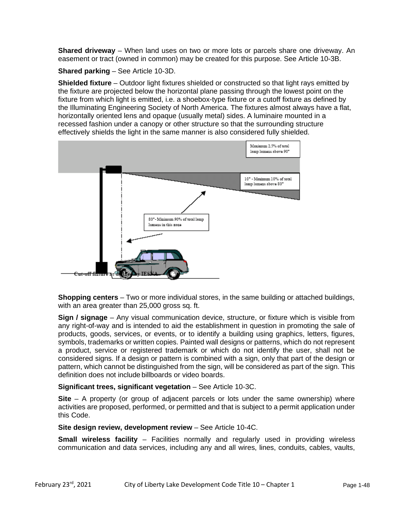**Shared driveway** – When land uses on two or more lots or parcels share one driveway. An easement or tract (owned in common) may be created for this purpose. See Article 10-3B.

**Shared parking** – See Article 10-3D.

**Shielded fixture** – Outdoor light fixtures shielded or constructed so that light rays emitted by the fixture are projected below the horizontal plane passing through the lowest point on the fixture from which light is emitted, i.e. a shoebox-type fixture or a cutoff fixture as defined by the Illuminating Engineering Society of North America. The fixtures almost always have a flat, horizontally oriented lens and opaque (usually metal) sides. A luminaire mounted in a recessed fashion under a canopy or other structure so that the surrounding structure effectively shields the light in the same manner is also considered fully shielded.



**Shopping centers** – Two or more individual stores, in the same building or attached buildings, with an area greater than 25,000 gross sq. ft.

**Sign / signage** – Any visual communication device, structure, or fixture which is visible from any right-of-way and is intended to aid the establishment in question in promoting the sale of products, goods, services, or events, or to identify a building using graphics, letters, figures, symbols, trademarks or written copies. Painted wall designs or patterns, which do not represent a product, service or registered trademark or which do not identify the user, shall not be considered signs. If a design or pattern is combined with a sign, only that part of the design or pattern, which cannot be distinguished from the sign, will be considered as part of the sign. This definition does not include billboards or video boards.

#### **Significant trees, significant vegetation** – See Article 10-3C.

**Site** – A property (or group of adjacent parcels or lots under the same ownership) where activities are proposed, performed, or permitted and that is subject to a permit application under this Code.

#### **Site design review, development review** – See Article 10-4C.

**Small wireless facility** – Facilities normally and regularly used in providing wireless communication and data services, including any and all wires, lines, conduits, cables, vaults,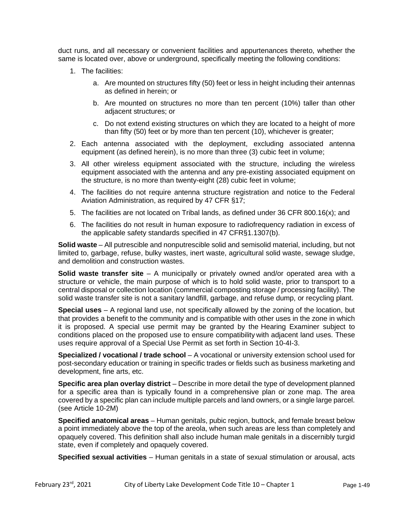duct runs, and all necessary or convenient facilities and appurtenances thereto, whether the same is located over, above or underground, specifically meeting the following conditions:

- 1. The facilities:
	- a. Are mounted on structures fifty (50) feet or less in height including their antennas as defined in herein; or
	- b. Are mounted on structures no more than ten percent (10%) taller than other adjacent structures; or
	- c. Do not extend existing structures on which they are located to a height of more than fifty (50) feet or by more than ten percent (10), whichever is greater;
- 2. Each antenna associated with the deployment, excluding associated antenna equipment (as defined herein), is no more than three (3) cubic feet in volume;
- 3. All other wireless equipment associated with the structure, including the wireless equipment associated with the antenna and any pre-existing associated equipment on the structure, is no more than twenty-eight (28) cubic feet in volume;
- 4. The facilities do not require antenna structure registration and notice to the Federal Aviation Administration, as required by 47 CFR §17;
- 5. The facilities are not located on Tribal lands, as defined under 36 CFR 800.16(x); and
- 6. The facilities do not result in human exposure to radiofrequency radiation in excess of the applicable safety standards specified in 47 CFR§1.1307(b).

**Solid waste** – All putrescible and nonputrescible solid and semisolid material, including, but not limited to, garbage, refuse, bulky wastes, inert waste, agricultural solid waste, sewage sludge, and demolition and construction wastes.

**Solid waste transfer site** – A municipally or privately owned and/or operated area with a structure or vehicle, the main purpose of which is to hold solid waste, prior to transport to a central disposal or collection location (commercial composting storage / processing facility). The solid waste transfer site is not a sanitary landfill, garbage, and refuse dump, or recycling plant.

**Special uses** – A regional land use, not specifically allowed by the zoning of the location, but that provides a benefit to the community and is compatible with other uses in the zone in which it is proposed. A special use permit may be granted by the Hearing Examiner subject to conditions placed on the proposed use to ensure compatibility with adjacent land uses. These uses require approval of a Special Use Permit as set forth in Section 10-4I-3.

**Specialized / vocational / trade school** – A vocational or university extension school used for post-secondary education or training in specific trades or fields such as business marketing and development, fine arts, etc.

**Specific area plan overlay district** – Describe in more detail the type of development planned for a specific area than is typically found in a comprehensive plan or zone map. The area covered by a specific plan can include multiple parcels and land owners, or a single large parcel. (see Article 10-2M)

**Specified anatomical areas** – Human genitals, pubic region, buttock, and female breast below a point immediately above the top of the areola, when such areas are less than completely and opaquely covered. This definition shall also include human male genitals in a discernibly turgid state, even if completely and opaquely covered.

**Specified sexual activities** – Human genitals in a state of sexual stimulation or arousal, acts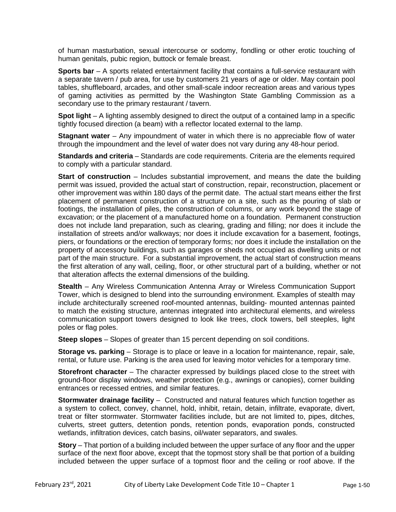of human masturbation, sexual intercourse or sodomy, fondling or other erotic touching of human genitals, pubic region, buttock or female breast.

**Sports bar** – A sports related entertainment facility that contains a full-service restaurant with a separate tavern / pub area, for use by customers 21 years of age or older. May contain pool tables, shuffleboard, arcades, and other small-scale indoor recreation areas and various types of gaming activities as permitted by the Washington State Gambling Commission as a secondary use to the primary restaurant / tavern.

**Spot light** – A lighting assembly designed to direct the output of a contained lamp in a specific tightly focused direction (a beam) with a reflector located external to the lamp.

**Stagnant water** – Any impoundment of water in which there is no appreciable flow of water through the impoundment and the level of water does not vary during any 48-hour period.

**Standards and criteria** – Standards are code requirements. Criteria are the elements required to comply with a particular standard.

**Start of construction** – Includes substantial improvement, and means the date the building permit was issued, provided the actual start of construction, repair, reconstruction, placement or other improvement was within 180 days of the permit date. The actual start means either the first placement of permanent construction of a structure on a site, such as the pouring of slab or footings, the installation of piles, the construction of columns, or any work beyond the stage of excavation; or the placement of a manufactured home on a foundation. Permanent construction does not include land preparation, such as clearing, grading and filling; nor does it include the installation of streets and/or walkways; nor does it include excavation for a basement, footings, piers, or foundations or the erection of temporary forms; nor does it include the installation on the property of accessory buildings, such as garages or sheds not occupied as dwelling units or not part of the main structure. For a substantial improvement, the actual start of construction means the first alteration of any wall, ceiling, floor, or other structural part of a building, whether or not that alteration affects the external dimensions of the building.

**Stealth** – Any Wireless Communication Antenna Array or Wireless Communication Support Tower, which is designed to blend into the surrounding environment. Examples of stealth may include architecturally screened roof-mounted antennas, building- mounted antennas painted to match the existing structure, antennas integrated into architectural elements, and wireless communication support towers designed to look like trees, clock towers, bell steeples, light poles or flag poles.

**Steep slopes** – Slopes of greater than 15 percent depending on soil conditions.

**Storage vs. parking** – Storage is to place or leave in a location for maintenance, repair, sale, rental, or future use. Parking is the area used for leaving motor vehicles for a temporary time.

**Storefront character** – The character expressed by buildings placed close to the street with ground-floor display windows, weather protection (e.g., awnings or canopies), corner building entrances or recessed entries, and similar features.

**Stormwater drainage facility** – Constructed and natural features which function together as a system to collect, convey, channel, hold, inhibit, retain, detain, infiltrate, evaporate, divert, treat or filter stormwater. Stormwater facilities include, but are not limited to, pipes, ditches, culverts, street gutters, detention ponds, retention ponds, evaporation ponds, constructed wetlands, infiltration devices, catch basins, oil/water separators, and swales.

**Story** – That portion of a building included between the upper surface of any floor and the upper surface of the next floor above, except that the topmost story shall be that portion of a building included between the upper surface of a topmost floor and the ceiling or roof above. If the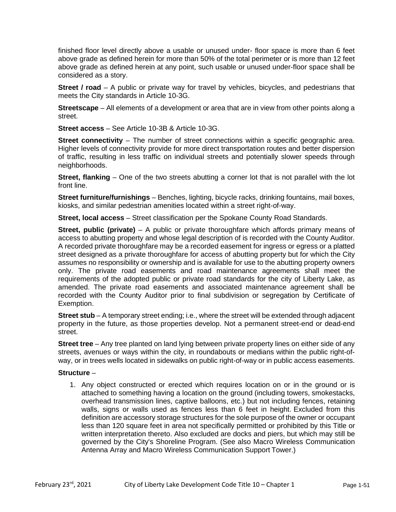finished floor level directly above a usable or unused under- floor space is more than 6 feet above grade as defined herein for more than 50% of the total perimeter or is more than 12 feet above grade as defined herein at any point, such usable or unused under-floor space shall be considered as a story.

**Street / road** – A public or private way for travel by vehicles, bicycles, and pedestrians that meets the City standards in Article 10-3G.

**Streetscape** – All elements of a development or area that are in view from other points along a street.

**Street access** – See Article 10-3B & Article 10-3G.

**Street connectivity** – The number of street connections within a specific geographic area. Higher levels of connectivity provide for more direct transportation routes and better dispersion of traffic, resulting in less traffic on individual streets and potentially slower speeds through neighborhoods.

**Street, flanking** – One of the two streets abutting a corner lot that is not parallel with the lot front line.

**Street furniture/furnishings** – Benches, lighting, bicycle racks, drinking fountains, mail boxes, kiosks, and similar pedestrian amenities located within a street right-of-way.

**Street, local access** – Street classification per the Spokane County Road Standards.

**Street, public (private)** – A public or private thoroughfare which affords primary means of access to abutting property and whose legal description of is recorded with the County Auditor. A recorded private thoroughfare may be a recorded easement for ingress or egress or a platted street designed as a private thoroughfare for access of abutting property but for which the City assumes no responsibility or ownership and is available for use to the abutting property owners only. The private road easements and road maintenance agreements shall meet the requirements of the adopted public or private road standards for the city of Liberty Lake, as amended. The private road easements and associated maintenance agreement shall be recorded with the County Auditor prior to final subdivision or segregation by Certificate of Exemption.

**Street stub** – A temporary street ending; i.e., where the street will be extended through adjacent property in the future, as those properties develop. Not a permanent street-end or dead-end street.

**Street tree** – Any tree planted on land lying between private property lines on either side of any streets, avenues or ways within the city, in roundabouts or medians within the public right-ofway, or in trees wells located in sidewalks on public right-of-way or in public access easements.

#### **Structure** –

1. Any object constructed or erected which requires location on or in the ground or is attached to something having a location on the ground (including towers, smokestacks, overhead transmission lines, captive balloons, etc.) but not including fences, retaining walls, signs or walls used as fences less than 6 feet in height. Excluded from this definition are accessory storage structures for the sole purpose of the owner or occupant less than 120 square feet in area not specifically permitted or prohibited by this Title or written interpretation thereto. Also excluded are docks and piers, but which may still be governed by the City's Shoreline Program. (See also Macro Wireless Communication Antenna Array and Macro Wireless Communication Support Tower.)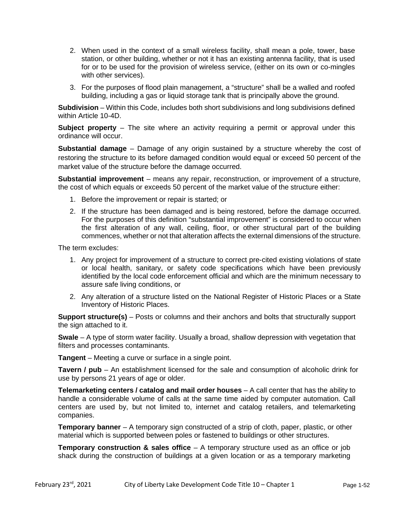- 2. When used in the context of a small wireless facility, shall mean a pole, tower, base station, or other building, whether or not it has an existing antenna facility, that is used for or to be used for the provision of wireless service, (either on its own or co-mingles with other services).
- 3. For the purposes of flood plain management, a "structure" shall be a walled and roofed building, including a gas or liquid storage tank that is principally above the ground.

**Subdivision** – Within this Code, includes both short subdivisions and long subdivisions defined within Article 10-4D.

**Subject property** – The site where an activity requiring a permit or approval under this ordinance will occur.

**Substantial damage** – Damage of any origin sustained by a structure whereby the cost of restoring the structure to its before damaged condition would equal or exceed 50 percent of the market value of the structure before the damage occurred.

**Substantial improvement** – means any repair, reconstruction, or improvement of a structure, the cost of which equals or exceeds 50 percent of the market value of the structure either:

- 1. Before the improvement or repair is started; or
- 2. If the structure has been damaged and is being restored, before the damage occurred. For the purposes of this definition "substantial improvement" is considered to occur when the first alteration of any wall, ceiling, floor, or other structural part of the building commences, whether or not that alteration affects the external dimensions of the structure.

The term excludes:

- 1. Any project for improvement of a structure to correct pre-cited existing violations of state or local health, sanitary, or safety code specifications which have been previously identified by the local code enforcement official and which are the minimum necessary to assure safe living conditions, or
- 2. Any alteration of a structure listed on the National Register of Historic Places or a State Inventory of Historic Places.

**Support structure(s)** – Posts or columns and their anchors and bolts that structurally support the sign attached to it.

**Swale** – A type of storm water facility. Usually a broad, shallow depression with vegetation that filters and processes contaminants.

**Tangent** – Meeting a curve or surface in a single point.

**Tavern / pub** – An establishment licensed for the sale and consumption of alcoholic drink for use by persons 21 years of age or older.

**Telemarketing centers / catalog and mail order houses** – A call center that has the ability to handle a considerable volume of calls at the same time aided by computer automation. Call centers are used by, but not limited to, internet and catalog retailers, and telemarketing companies.

**Temporary banner** – A temporary sign constructed of a strip of cloth, paper, plastic, or other material which is supported between poles or fastened to buildings or other structures.

**Temporary construction & sales office** – A temporary structure used as an office or job shack during the construction of buildings at a given location or as a temporary marketing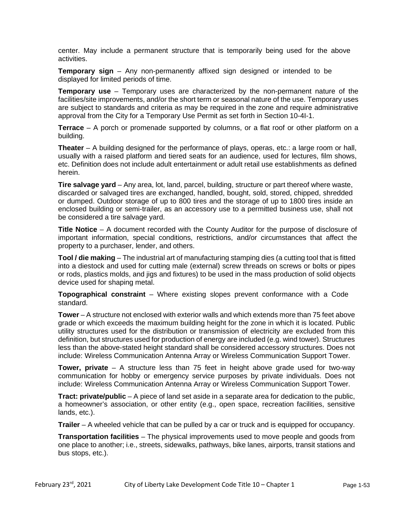center. May include a permanent structure that is temporarily being used for the above activities.

**Temporary sign** – Any non-permanently affixed sign designed or intended to be displayed for limited periods of time.

**Temporary use** – Temporary uses are characterized by the non-permanent nature of the facilities/site improvements, and/or the short term or seasonal nature of the use. Temporary uses are subject to standards and criteria as may be required in the zone and require administrative approval from the City for a Temporary Use Permit as set forth in Section 10-4I-1.

**Terrace** – A porch or promenade supported by columns, or a flat roof or other platform on a building.

**Theater** – A building designed for the performance of plays, operas, etc.: a large room or hall, usually with a raised platform and tiered seats for an audience, used for lectures, film shows, etc. Definition does not include adult entertainment or adult retail use establishments as defined herein.

**Tire salvage yard** – Any area, lot, land, parcel, building, structure or part thereof where waste, discarded or salvaged tires are exchanged, handled, bought, sold, stored, chipped, shredded or dumped. Outdoor storage of up to 800 tires and the storage of up to 1800 tires inside an enclosed building or semi-trailer, as an accessory use to a permitted business use, shall not be considered a tire salvage yard.

**Title Notice** – A document recorded with the County Auditor for the purpose of disclosure of important information, special conditions, restrictions, and/or circumstances that affect the property to a purchaser, lender, and others.

**Tool / die making** – The industrial art of manufacturing stamping dies (a cutting tool that is fitted into a diestock and used for cutting male (external) screw threads on screws or bolts or pipes or rods, plastics molds, and jigs and fixtures) to be used in the mass production of solid objects device used for shaping metal.

**Topographical constraint** – Where existing slopes prevent conformance with a Code standard.

**Tower** – A structure not enclosed with exterior walls and which extends more than 75 feet above grade or which exceeds the maximum building height for the zone in which it is located. Public utility structures used for the distribution or transmission of electricity are excluded from this definition, but structures used for production of energy are included (e.g. wind tower). Structures less than the above-stated height standard shall be considered accessory structures. Does not include: Wireless Communication Antenna Array or Wireless Communication Support Tower.

**Tower, private** – A structure less than 75 feet in height above grade used for two-way communication for hobby or emergency service purposes by private individuals. Does not include: Wireless Communication Antenna Array or Wireless Communication Support Tower.

**Tract: private/public** – A piece of land set aside in a separate area for dedication to the public, a homeowner's association, or other entity (e.g., open space, recreation facilities, sensitive lands, etc.).

**Trailer** – A wheeled vehicle that can be pulled by a car or truck and is equipped for occupancy.

**Transportation facilities** – The physical improvements used to move people and goods from one place to another; i.e., streets, sidewalks, pathways, bike lanes, airports, transit stations and bus stops, etc.).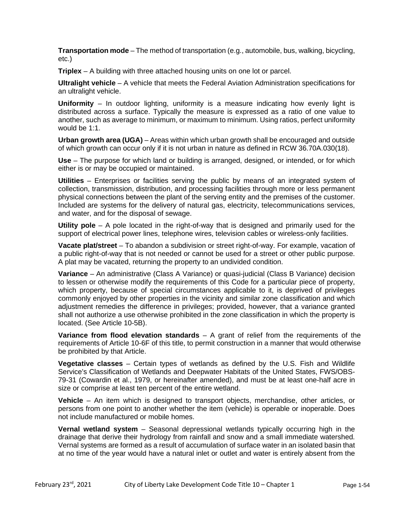**Transportation mode** – The method of transportation (e.g., automobile, bus, walking, bicycling, etc.)

**Triplex** – A building with three attached housing units on one lot or parcel.

**Ultralight vehicle** – A vehicle that meets the Federal Aviation Administration specifications for an ultralight vehicle.

**Uniformity** – In outdoor lighting, uniformity is a measure indicating how evenly light is distributed across a surface. Typically the measure is expressed as a ratio of one value to another, such as average to minimum, or maximum to minimum. Using ratios, perfect uniformity would be 1:1.

**Urban growth area (UGA)** – Areas within which urban growth shall be encouraged and outside of which growth can occur only if it is not urban in nature as defined in RCW 36.70A.030(18).

**Use** – The purpose for which land or building is arranged, designed, or intended, or for which either is or may be occupied or maintained.

**Utilities** – Enterprises or facilities serving the public by means of an integrated system of collection, transmission, distribution, and processing facilities through more or less permanent physical connections between the plant of the serving entity and the premises of the customer. Included are systems for the delivery of natural gas, electricity, telecommunications services, and water, and for the disposal of sewage.

**Utility pole** – A pole located in the right-of-way that is designed and primarily used for the support of electrical power lines, telephone wires, television cables or wireless-only facilities.

**Vacate plat/street** – To abandon a subdivision or street right-of-way. For example, vacation of a public right-of-way that is not needed or cannot be used for a street or other public purpose. A plat may be vacated, returning the property to an undivided condition.

**Variance** – An administrative (Class A Variance) or quasi-judicial (Class B Variance) decision to lessen or otherwise modify the requirements of this Code for a particular piece of property, which property, because of special circumstances applicable to it, is deprived of privileges commonly enjoyed by other properties in the vicinity and similar zone classification and which adjustment remedies the difference in privileges; provided, however, that a variance granted shall not authorize a use otherwise prohibited in the zone classification in which the property is located. (See Article 10-5B).

**Variance from flood elevation standards** – A grant of relief from the requirements of the requirements of Article 10-6F of this title, to permit construction in a manner that would otherwise be prohibited by that Article.

**Vegetative classes** – Certain types of wetlands as defined by the U.S. Fish and Wildlife Service's Classification of Wetlands and Deepwater Habitats of the United States, FWS/OBS-79-31 (Cowardin et al., 1979, or hereinafter amended), and must be at least one-half acre in size or comprise at least ten percent of the entire wetland.

**Vehicle** – An item which is designed to transport objects, merchandise, other articles, or persons from one point to another whether the item (vehicle) is operable or inoperable. Does not include manufactured or mobile homes.

**Vernal wetland system** – Seasonal depressional wetlands typically occurring high in the drainage that derive their hydrology from rainfall and snow and a small immediate watershed. Vernal systems are formed as a result of accumulation of surface water in an isolated basin that at no time of the year would have a natural inlet or outlet and water is entirely absent from the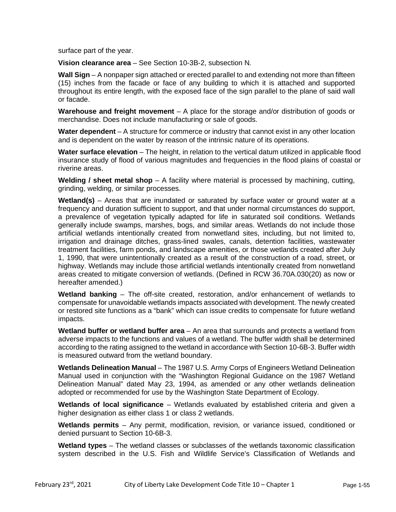surface part of the year.

**Vision clearance area** – See Section 10-3B-2, subsection N*.*

**Wall Sign** – A nonpaper sign attached or erected parallel to and extending not more than fifteen (15) inches from the facade or face of any building to which it is attached and supported throughout its entire length, with the exposed face of the sign parallel to the plane of said wall or facade.

**Warehouse and freight movement** – A place for the storage and/or distribution of goods or merchandise. Does not include manufacturing or sale of goods.

**Water dependent** – A structure for commerce or industry that cannot exist in any other location and is dependent on the water by reason of the intrinsic nature of its operations.

**Water surface elevation** – The height, in relation to the vertical datum utilized in applicable flood insurance study of flood of various magnitudes and frequencies in the flood plains of coastal or riverine areas.

**Welding / sheet metal shop** – A facility where material is processed by machining, cutting, grinding, welding, or similar processes.

**Wetland(s)** – Areas that are inundated or saturated by surface water or ground water at a frequency and duration sufficient to support, and that under normal circumstances do support, a prevalence of vegetation typically adapted for life in saturated soil conditions. Wetlands generally include swamps, marshes, bogs, and similar areas. Wetlands do not include those artificial wetlands intentionally created from nonwetland sites, including, but not limited to, irrigation and drainage ditches, grass-lined swales, canals, detention facilities, wastewater treatment facilities, farm ponds, and landscape amenities, or those wetlands created after July 1, 1990, that were unintentionally created as a result of the construction of a road, street, or highway. Wetlands may include those artificial wetlands intentionally created from nonwetland areas created to mitigate conversion of wetlands. (Defined in RCW 36.70A.030(20) as now or hereafter amended.)

**Wetland banking** – The off-site created, restoration, and/or enhancement of wetlands to compensate for unavoidable wetlands impacts associated with development. The newly created or restored site functions as a "bank" which can issue credits to compensate for future wetland impacts.

**Wetland buffer or wetland buffer area** – An area that surrounds and protects a wetland from adverse impacts to the functions and values of a wetland. The buffer width shall be determined according to the rating assigned to the wetland in accordance with Section 10-6B-3. Buffer width is measured outward from the wetland boundary.

**Wetlands Delineation Manual** – The 1987 U.S. Army Corps of Engineers Wetland Delineation Manual used in conjunction with the "Washington Regional Guidance on the 1987 Wetland Delineation Manual" dated May 23, 1994, as amended or any other wetlands delineation adopted or recommended for use by the Washington State Department of Ecology.

**Wetlands of local significance** – Wetlands evaluated by established criteria and given a higher designation as either class 1 or class 2 wetlands.

**Wetlands permits** – Any permit, modification, revision, or variance issued, conditioned or denied pursuant to Section 10-6B-3.

**Wetland types** – The wetland classes or subclasses of the wetlands taxonomic classification system described in the U.S. Fish and Wildlife Service's Classification of Wetlands and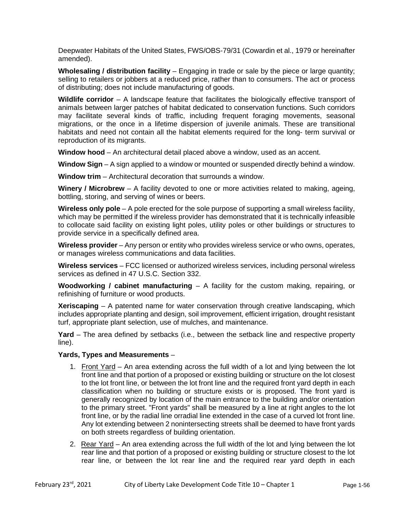Deepwater Habitats of the United States, FWS/OBS-79/31 (Cowardin et al., 1979 or hereinafter amended).

**Wholesaling / distribution facility** – Engaging in trade or sale by the piece or large quantity; selling to retailers or jobbers at a reduced price, rather than to consumers. The act or process of [distributing;](http://www.m-w.com/cgi-bin/dictionary?book=Dictionary&va=distributing) does not include manufacturing of goods.

Wildlife corridor – A landscape feature that facilitates the biologically effective transport of animals between larger patches of habitat dedicated to conservation functions. Such corridors may facilitate several kinds of traffic, including frequent foraging movements, seasonal migrations, or the once in a lifetime dispersion of juvenile animals. These are transitional habitats and need not contain all the habitat elements required for the long- term survival or reproduction of its migrants.

**Window hood** – An architectural detail placed above a window, used as an accent.

**Window Sign** *–* A sign applied to a window or mounted or suspended directly behind a window.

**Window trim** – Architectural decoration that surrounds a window.

**Winery / Microbrew** – A facility devoted to one or more activities related to making, ageing, bottling, storing, and serving of wines or beers.

**Wireless only pole** – A pole erected for the sole purpose of supporting a small wireless facility, which may be permitted if the wireless provider has demonstrated that it is technically infeasible to collocate said facility on existing light poles, utility poles or other buildings or structures to provide service in a specifically defined area.

**Wireless provider** – Any person or entity who provides wireless service or who owns, operates, or manages wireless communications and data facilities.

**Wireless services** – FCC licensed or authorized wireless services, including personal wireless services as defined in 47 U.S.C. Section 332.

**Woodworking / cabinet manufacturing** – A facility for the custom making, repairing, or refinishing of furniture or wood products.

**Xeriscaping** – A patented name for water conservation through creative landscaping, which includes appropriate planting and design, soil improvement, efficient irrigation, drought resistant turf, appropriate plant selection, use of mulches, and maintenance.

**Yard** – The area defined by setbacks (i.e., between the setback line and respective property line).

#### **Yards, Types and Measurements** –

- 1. Front Yard An area extending across the full width of a lot and lying between the lot front line and that portion of a proposed or existing building or structure on the lot closest to the lot front line, or between the lot front line and the required front yard depth in each classification when no building or structure exists or is proposed. The front yard is generally recognized by location of the main entrance to the building and/or orientation to the primary street. "Front yards" shall be measured by a line at right angles to the lot front line, or by the radial line orradial line extended in the case of a curved lot front line. Any lot extending between 2 nonintersecting streets shall be deemed to have front yards on both streets regardless of building orientation.
- 2. Rear Yard An area extending across the full width of the lot and lying between the lot rear line and that portion of a proposed or existing building or structure closest to the lot rear line, or between the lot rear line and the required rear yard depth in each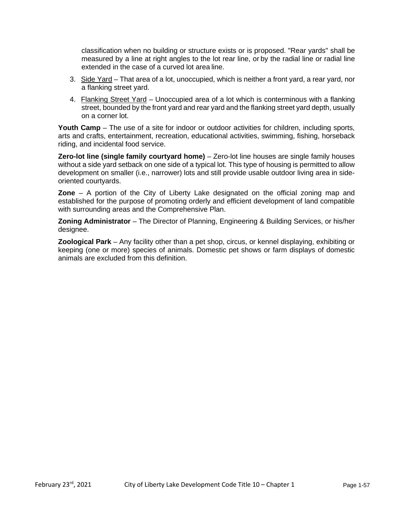classification when no building or structure exists or is proposed. "Rear yards" shall be measured by a line at right angles to the lot rear line, or by the radial line or radial line extended in the case of a curved lot area line.

- 3. Side Yard That area of a lot, unoccupied, which is neither a front yard, a rear yard, nor a flanking street yard.
- 4. Flanking Street Yard Unoccupied area of a lot which is conterminous with a flanking street, bounded by the front yard and rear yard and the flanking street yard depth, usually on a corner lot.

**Youth Camp** – The use of a site for indoor or outdoor activities for children, including sports, arts and crafts, entertainment, recreation, educational activities, swimming, fishing, horseback riding, and incidental food service.

**Zero-lot line (single family courtyard home)** – Zero-lot line houses are single family houses without a side yard setback on one side of a typical lot. This type of housing is permitted to allow development on smaller (i.e., narrower) lots and still provide usable outdoor living area in sideoriented courtyards.

**Zone** – A portion of the City of Liberty Lake designated on the official zoning map and established for the purpose of promoting orderly and efficient development of land compatible with surrounding areas and the Comprehensive Plan.

**Zoning Administrator** – The Director of Planning, Engineering & Building Services, or his/her designee.

**Zoological Park** – Any facility other than a pet shop, circus, or kennel displaying, exhibiting or keeping (one or more) species of animals. Domestic pet shows or farm displays of domestic animals are excluded from this definition.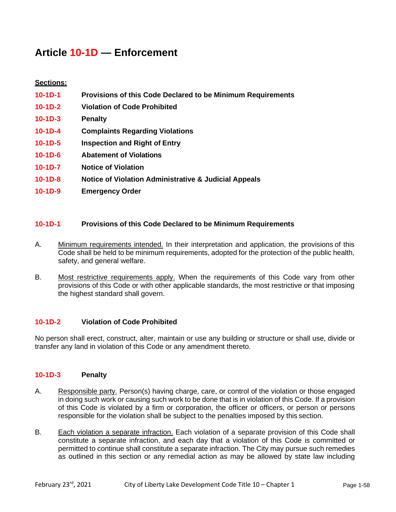# **Article 10-1D — Enforcement**

# **Sections:**

- **10-1D-1 Provisions of this Code Declared to be Minimum Requirements**
- **10-1D-2 Violation of Code Prohibited**
- **10-1D-3 Penalty**
- **10-1D-4 Complaints Regarding Violations**
- **10-1D-5 Inspection and Right of Entry**
- **10-1D-6 Abatement of Violations**
- **10-1D-7 Notice of Violation**
- **10-1D-8 Notice of Violation Administrative & Judicial Appeals**
- **10-1D-9 Emergency Order**

### **10-1D-1 Provisions of this Code Declared to be Minimum Requirements**

- A. Minimum requirements intended. In their interpretation and application, the provisions of this Code shall be held to be minimum requirements, adopted for the protection of the public health, safety, and general welfare.
- B. Most restrictive requirements apply. When the requirements of this Code vary from other provisions of this Code or with other applicable standards, the most restrictive or that imposing the highest standard shall govern.

#### **10-1D-2 Violation of Code Prohibited**

No person shall erect, construct, alter, maintain or use any building or structure or shall use, divide or transfer any land in violation of this Code or any amendment thereto.

#### **10-1D-3 Penalty**

- A. Responsible party. Person(s) having charge, care, or control of the violation or those engaged in doing such work or causing such work to be done that is in violation of this Code. If a provision of this Code is violated by a firm or corporation, the officer or officers, or person or persons responsible for the violation shall be subject to the penalties imposed by this section.
- B. Each violation a separate infraction. Each violation of a separate provision of this Code shall constitute a separate infraction, and each day that a violation of this Code is committed or permitted to continue shall constitute a separate infraction. The City may pursue such remedies as outlined in this section or any remedial action as may be allowed by state law including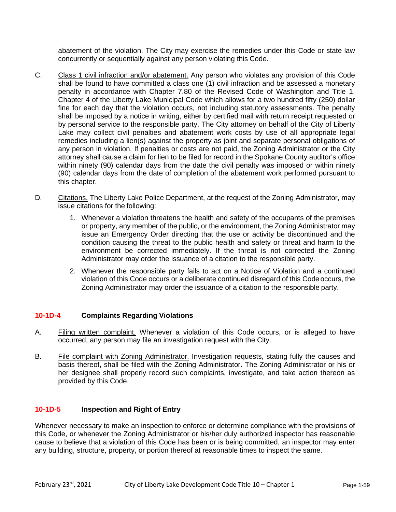abatement of the violation. The City may exercise the remedies under this Code or state law concurrently or sequentially against any person violating this Code.

- C. Class 1 civil infraction and/or abatement. Any person who violates any provision of this Code shall be found to have committed a class one (1) civil infraction and be assessed a monetary penalty in accordance with Chapter 7.80 of the Revised Code of Washington and Title 1, Chapter 4 of the Liberty Lake Municipal Code which allows for a two hundred fifty (250) dollar fine for each day that the violation occurs, not including statutory assessments. The penalty shall be imposed by a notice in writing, either by certified mail with return receipt requested or by personal service to the responsible party. The City attorney on behalf of the City of Liberty Lake may collect civil penalties and abatement work costs by use of all appropriate legal remedies including a lien(s) against the property as joint and separate personal obligations of any person in violation. If penalties or costs are not paid, the Zoning Administrator or the City attorney shall cause a claim for lien to be filed for record in the Spokane County auditor's office within ninety (90) calendar days from the date the civil penalty was imposed or within ninety (90) calendar days from the date of completion of the abatement work performed pursuant to this chapter.
- D. Citations. The Liberty Lake Police Department, at the request of the Zoning Administrator, may issue citations for the following:
	- 1. Whenever a violation threatens the health and safety of the occupants of the premises or property, any member of the public, or the environment, the Zoning Administrator may issue an Emergency Order directing that the use or activity be discontinued and the condition causing the threat to the public health and safety or threat and harm to the environment be corrected immediately. If the threat is not corrected the Zoning Administrator may order the issuance of a citation to the responsible party.
	- 2. Whenever the responsible party fails to act on a Notice of Violation and a continued violation of this Code occurs or a deliberate continued disregard of this Code occurs, the Zoning Administrator may order the issuance of a citation to the responsible party.

#### **10-1D-4 Complaints Regarding Violations**

- A. Filing written complaint. Whenever a violation of this Code occurs, or is alleged to have occurred, any person may file an investigation request with the City.
- B. File complaint with Zoning Administrator. Investigation requests, stating fully the causes and basis thereof, shall be filed with the Zoning Administrator. The Zoning Administrator or his or her designee shall properly record such complaints, investigate, and take action thereon as provided by this Code.

## **10-1D-5 Inspection and Right of Entry**

Whenever necessary to make an inspection to enforce or determine compliance with the provisions of this Code, or whenever the Zoning Administrator or his/her duly authorized inspector has reasonable cause to believe that a violation of this Code has been or is being committed, an inspector may enter any building, structure, property, or portion thereof at reasonable times to inspect the same.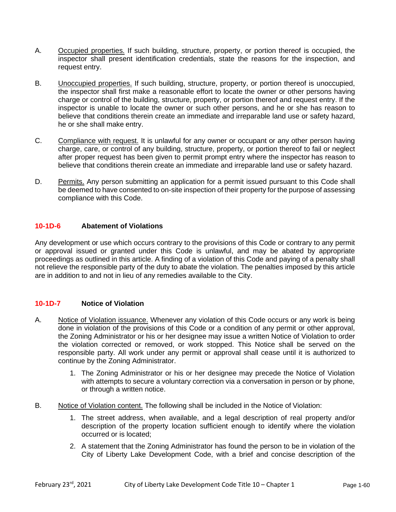- A. **Occupied properties.** If such building, structure, property, or portion thereof is occupied, the inspector shall present identification credentials, state the reasons for the inspection, and request entry.
- B. Unoccupied properties. If such building, structure, property, or portion thereof is unoccupied, the inspector shall first make a reasonable effort to locate the owner or other persons having charge or control of the building, structure, property, or portion thereof and request entry. If the inspector is unable to locate the owner or such other persons, and he or she has reason to believe that conditions therein create an immediate and irreparable land use or safety hazard, he or she shall make entry.
- C. Compliance with request. It is unlawful for any owner or occupant or any other person having charge, care, or control of any building, structure, property, or portion thereof to fail or neglect after proper request has been given to permit prompt entry where the inspector has reason to believe that conditions therein create an immediate and irreparable land use or safety hazard.
- D. Permits. Any person submitting an application for a permit issued pursuant to this Code shall be deemed to have consented to on-site inspection of their property for the purpose of assessing compliance with this Code.

### **10-1D-6 Abatement of Violations**

Any development or use which occurs contrary to the provisions of this Code or contrary to any permit or approval issued or granted under this Code is unlawful, and may be abated by appropriate proceedings as outlined in this article. A finding of a violation of this Code and paying of a penalty shall not relieve the responsible party of the duty to abate the violation. The penalties imposed by this article are in addition to and not in lieu of any remedies available to the City.

## **10-1D-7 Notice of Violation**

- A. Notice of Violation issuance. Whenever any violation of this Code occurs or any work is being done in violation of the provisions of this Code or a condition of any permit or other approval, the Zoning Administrator or his or her designee may issue a written Notice of Violation to order the violation corrected or removed, or work stopped. This Notice shall be served on the responsible party. All work under any permit or approval shall cease until it is authorized to continue by the Zoning Administrator.
	- 1. The Zoning Administrator or his or her designee may precede the Notice of Violation with attempts to secure a voluntary correction via a conversation in person or by phone, or through a written notice.
- B. Notice of Violation content. The following shall be included in the Notice of Violation:
	- 1. The street address, when available, and a legal description of real property and/or description of the property location sufficient enough to identify where the violation occurred or is located;
	- 2. A statement that the Zoning Administrator has found the person to be in violation of the City of Liberty Lake Development Code, with a brief and concise description of the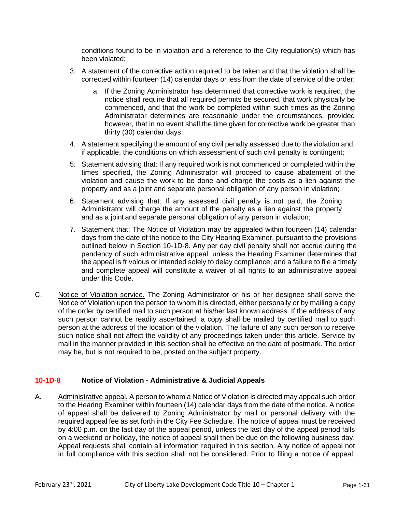conditions found to be in violation and a reference to the City regulation(s) which has been violated;

- 3. A statement of the corrective action required to be taken and that the violation shall be corrected within fourteen (14) calendar days or less from the date of service of the order;
	- a. If the Zoning Administrator has determined that corrective work is required, the notice shall require that all required permits be secured, that work physically be commenced, and that the work be completed within such times as the Zoning Administrator determines are reasonable under the circumstances, provided however, that in no event shall the time given for corrective work be greater than thirty (30) calendar days;
- 4. A statement specifying the amount of any civil penalty assessed due to theviolation and, if applicable, the conditions on which assessment of such civil penalty is contingent;
- 5. Statement advising that: If any required work is not commenced or completed within the times specified, the Zoning Administrator will proceed to cause abatement of the violation and cause the work to be done and charge the costs as a lien against the property and as a joint and separate personal obligation of any person in violation;
- 6. Statement advising that: If any assessed civil penalty is not paid, the Zoning Administrator will charge the amount of the penalty as a lien against the property and as a joint and separate personal obligation of any person in violation;
- 7. Statement that: The Notice of Violation may be appealed within fourteen (14) calendar days from the date of the notice to the City Hearing Examiner, pursuant to the provisions outlined below in Section 10-1D-8. Any per day civil penalty shall not accrue during the pendency of such administrative appeal, unless the Hearing Examiner determines that the appeal is frivolous or intended solely to delay compliance; and a failure to file a timely and complete appeal will constitute a waiver of all rights to an administrative appeal under this Code.
- C. Notice of Violation service. The Zoning Administrator or his or her designee shall serve the Notice of Violation upon the person to whom it is directed, either personally or by mailing a copy of the order by certified mail to such person at his/her last known address. If the address of any such person cannot be readily ascertained, a copy shall be mailed by certified mail to such person at the address of the location of the violation. The failure of any such person to receive such notice shall not affect the validity of any proceedings taken under this article. Service by mail in the manner provided in this section shall be effective on the date of postmark. The order may be, but is not required to be, posted on the subject property.

#### **10-1D-8 Notice of Violation - Administrative & Judicial Appeals**

A. Administrative appeal. A person to whom a Notice of Violation is directed may appeal such order to the Hearing Examiner within fourteen (14) calendar days from the date of the notice. A notice of appeal shall be delivered to Zoning Administrator by mail or personal delivery with the required appeal fee as set forth in the City Fee Schedule. The notice of appeal must be received by 4:00 p.m. on the last day of the appeal period, unless the last day of the appeal period falls on a weekend or holiday, the notice of appeal shall then be due on the following business day. Appeal requests shall contain all information required in this section. Any notice of appeal not in full compliance with this section shall not be considered. Prior to filing a notice of appeal,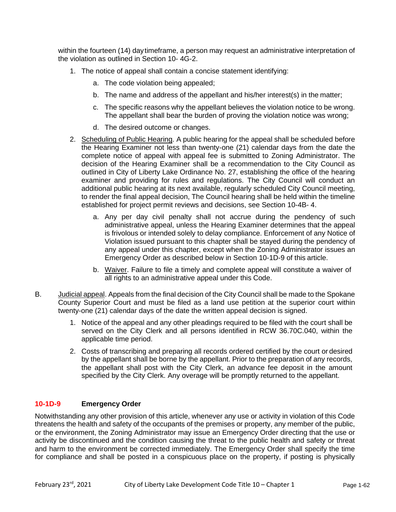within the fourteen (14) daytimeframe, a person may request an administrative interpretation of the violation as outlined in Section 10- 4G-2.

- 1. The notice of appeal shall contain a concise statement identifying:
	- a. The code violation being appealed;
	- b. The name and address of the appellant and his/her interest(s) in the matter;
	- c. The specific reasons why the appellant believes the violation notice to be wrong. The appellant shall bear the burden of proving the violation notice was wrong;
	- d. The desired outcome or changes.
- 2. Scheduling of Public Hearing. A public hearing for the appeal shall be scheduled before the Hearing Examiner not less than twenty-one (21) calendar days from the date the complete notice of appeal with appeal fee is submitted to Zoning Administrator. The decision of the Hearing Examiner shall be a recommendation to the City Council as outlined in City of Liberty Lake Ordinance No. 27, establishing the office of the hearing examiner and providing for rules and regulations. The City Council will conduct an additional public hearing at its next available, regularly scheduled City Council meeting, to render the final appeal decision, The Council hearing shall be held within the timeline established for project permit reviews and decisions, see Section 10-4B- 4.
	- a. Any per day civil penalty shall not accrue during the pendency of such administrative appeal, unless the Hearing Examiner determines that the appeal is frivolous or intended solely to delay compliance. Enforcement of any Notice of Violation issued pursuant to this chapter shall be stayed during the pendency of any appeal under this chapter, except when the Zoning Administrator issues an Emergency Order as described below in Section 10-1D-9 of this article.
	- b. Waiver. Failure to file a timely and complete appeal will constitute a waiver of all rights to an administrative appeal under this Code.
- B. Judicial appeal. Appeals from the final decision of the City Council shall be made to the Spokane County Superior Court and must be filed as a land use petition at the superior court within twenty-one (21) calendar days of the date the written appeal decision is signed.
	- 1. Notice of the appeal and any other pleadings required to be filed with the court shall be served on the City Clerk and all persons identified in RCW 36.70C.040, within the applicable time period.
	- 2. Costs of transcribing and preparing all records ordered certified by the court or desired by the appellant shall be borne by the appellant. Prior to the preparation of any records, the appellant shall post with the City Clerk, an advance fee deposit in the amount specified by the City Clerk. Any overage will be promptly returned to the appellant.

## **10-1D-9 Emergency Order**

Notwithstanding any other provision of this article, whenever any use or activity in violation of this Code threatens the health and safety of the occupants of the premises or property, any member of the public, or the environment, the Zoning Administrator may issue an Emergency Order directing that the use or activity be discontinued and the condition causing the threat to the public health and safety or threat and harm to the environment be corrected immediately. The Emergency Order shall specify the time for compliance and shall be posted in a conspicuous place on the property, if posting is physically